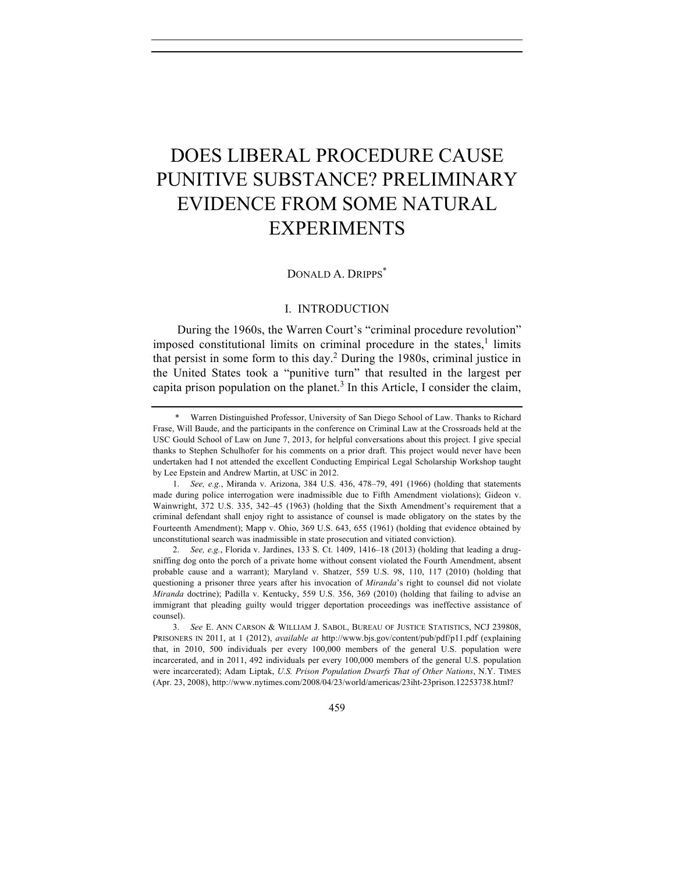# DOES LIBERAL PROCEDURE CAUSE PUNITIVE SUBSTANCE? PRELIMINARY EVIDENCE FROM SOME NATURAL EXPERIMENTS

# DONALD A. DRIPPS<sup>\*</sup>

# I. INTRODUCTION

During the 1960s, the Warren Court's "criminal procedure revolution" imposed constitutional limits on criminal procedure in the states, $\frac{1}{1}$  limits that persist in some form to this day.<sup>2</sup> During the 1980s, criminal justice in the United States took a "punitive turn" that resulted in the largest per capita prison population on the planet.<sup>3</sup> In this Article, I consider the claim,

Warren Distinguished Professor, University of San Diego School of Law. Thanks to Richard Frase, Will Baude, and the participants in the conference on Criminal Law at the Crossroads held at the USC Gould School of Law on June 7, 2013, for helpful conversations about this project. I give special thanks to Stephen Schulhofer for his comments on a prior draft. This project would never have been undertaken had I not attended the excellent Conducting Empirical Legal Scholarship Workshop taught by Lee Epstein and Andrew Martin, at USC in 2012.

<sup>1.</sup> *See, e.g.*, Miranda v. Arizona, 384 U.S. 436, 478–79, 491 (1966) (holding that statements made during police interrogation were inadmissible due to Fifth Amendment violations); Gideon v. Wainwright, 372 U.S. 335, 342–45 (1963) (holding that the Sixth Amendment's requirement that a criminal defendant shall enjoy right to assistance of counsel is made obligatory on the states by the Fourteenth Amendment); Mapp v. Ohio, 369 U.S. 643, 655 (1961) (holding that evidence obtained by unconstitutional search was inadmissible in state prosecution and vitiated conviction).

<sup>2.</sup> *See, e.g.*, Florida v. Jardines, 133 S. Ct. 1409, 1416–18 (2013) (holding that leading a drugsniffing dog onto the porch of a private home without consent violated the Fourth Amendment, absent probable cause and a warrant); Maryland v. Shatzer, 559 U.S. 98, 110, 117 (2010) (holding that questioning a prisoner three years after his invocation of *Miranda*'s right to counsel did not violate *Miranda* doctrine); Padilla v. Kentucky, 559 U.S. 356, 369 (2010) (holding that failing to advise an immigrant that pleading guilty would trigger deportation proceedings was ineffective assistance of counsel).

<sup>3.</sup> *See* E. ANN CARSON & WILLIAM J. SABOL, BUREAU OF JUSTICE STATISTICS, NCJ 239808, PRISONERS IN 2011, at 1 (2012), *available at* http://www.bjs.gov/content/pub/pdf/p11.pdf (explaining that, in 2010, 500 individuals per every 100,000 members of the general U.S. population were incarcerated, and in 2011, 492 individuals per every 100,000 members of the general U.S. population were incarcerated); Adam Liptak, *U.S. Prison Population Dwarfs That of Other Nations*, N.Y. TIMES (Apr. 23, 2008), http://www.nytimes.com/2008/04/23/world/americas/23iht-23prison.12253738.html?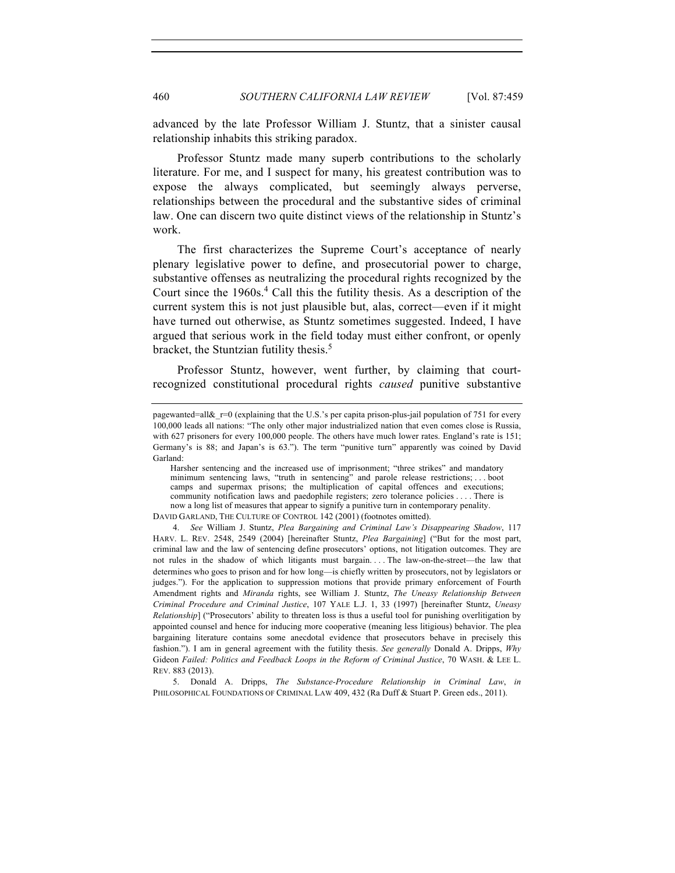advanced by the late Professor William J. Stuntz, that a sinister causal relationship inhabits this striking paradox.

Professor Stuntz made many superb contributions to the scholarly literature. For me, and I suspect for many, his greatest contribution was to expose the always complicated, but seemingly always perverse, relationships between the procedural and the substantive sides of criminal law. One can discern two quite distinct views of the relationship in Stuntz's work.

The first characterizes the Supreme Court's acceptance of nearly plenary legislative power to define, and prosecutorial power to charge, substantive offenses as neutralizing the procedural rights recognized by the Court since the  $1960s<sup>4</sup>$  Call this the futility thesis. As a description of the current system this is not just plausible but, alas, correct—even if it might have turned out otherwise, as Stuntz sometimes suggested. Indeed, I have argued that serious work in the field today must either confront, or openly bracket, the Stuntzian futility thesis.<sup>5</sup>

Professor Stuntz, however, went further, by claiming that courtrecognized constitutional procedural rights *caused* punitive substantive

pagewanted=all&\_r=0 (explaining that the U.S.'s per capita prison-plus-jail population of 751 for every 100,000 leads all nations: "The only other major industrialized nation that even comes close is Russia, with 627 prisoners for every 100,000 people. The others have much lower rates. England's rate is 151; Germany's is 88; and Japan's is 63."). The term "punitive turn" apparently was coined by David Garland:

Harsher sentencing and the increased use of imprisonment; "three strikes" and mandatory minimum sentencing laws, "truth in sentencing" and parole release restrictions; . . . boot camps and supermax prisons; the multiplication of capital offences and executions; community notification laws and paedophile registers; zero tolerance policies . . . . There is now a long list of measures that appear to signify a punitive turn in contemporary penality. DAVID GARLAND, THE CULTURE OF CONTROL 142 (2001) (footnotes omitted).

<sup>4.</sup> *See* William J. Stuntz, *Plea Bargaining and Criminal Law's Disappearing Shadow*, 117 HARV. L. REV. 2548, 2549 (2004) [hereinafter Stuntz, *Plea Bargaining*] ("But for the most part, criminal law and the law of sentencing define prosecutors' options, not litigation outcomes. They are not rules in the shadow of which litigants must bargain. . . . The law-on-the-street—the law that determines who goes to prison and for how long—is chiefly written by prosecutors, not by legislators or judges."). For the application to suppression motions that provide primary enforcement of Fourth Amendment rights and *Miranda* rights, see William J. Stuntz, *The Uneasy Relationship Between Criminal Procedure and Criminal Justice*, 107 YALE L.J. 1, 33 (1997) [hereinafter Stuntz, *Uneasy Relationship*] ("Prosecutors' ability to threaten loss is thus a useful tool for punishing overlitigation by appointed counsel and hence for inducing more cooperative (meaning less litigious) behavior. The plea bargaining literature contains some anecdotal evidence that prosecutors behave in precisely this fashion."). I am in general agreement with the futility thesis. *See generally* Donald A. Dripps, *Why*  Gideon *Failed: Politics and Feedback Loops in the Reform of Criminal Justice*, 70 WASH. & LEE L. REV. 883 (2013).

<sup>5.</sup> Donald A. Dripps, *The Substance-Procedure Relationship in Criminal Law*, *in* PHILOSOPHICAL FOUNDATIONS OF CRIMINAL LAW 409, 432 (Ra Duff & Stuart P. Green eds., 2011).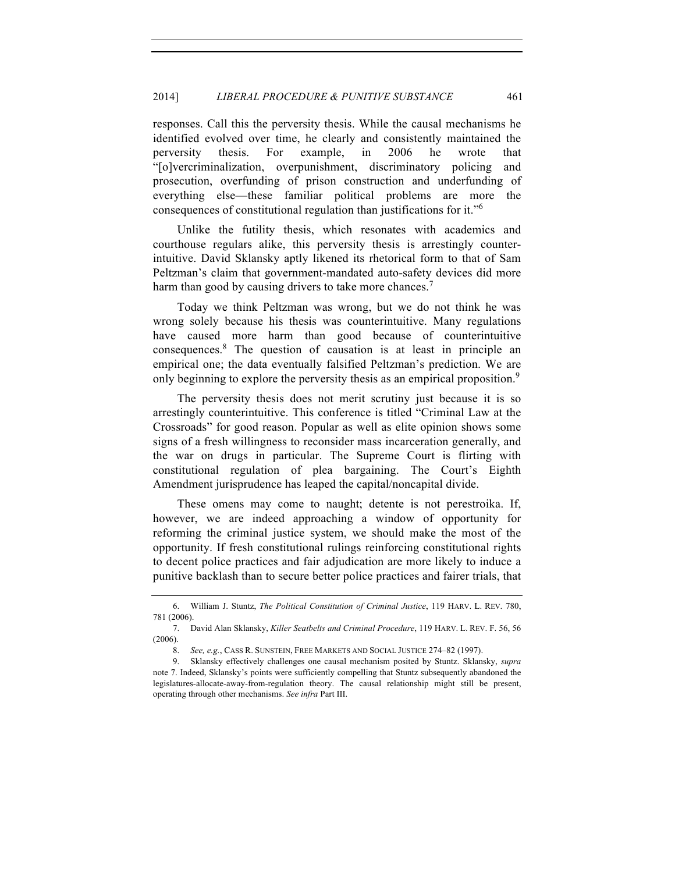responses. Call this the perversity thesis. While the causal mechanisms he identified evolved over time, he clearly and consistently maintained the perversity thesis. For example, in 2006 he wrote that "[o]vercriminalization, overpunishment, discriminatory policing and prosecution, overfunding of prison construction and underfunding of everything else—these familiar political problems are more the consequences of constitutional regulation than justifications for it."<sup>6</sup>

Unlike the futility thesis, which resonates with academics and courthouse regulars alike, this perversity thesis is arrestingly counterintuitive. David Sklansky aptly likened its rhetorical form to that of Sam Peltzman's claim that government-mandated auto-safety devices did more harm than good by causing drivers to take more chances.<sup>7</sup>

Today we think Peltzman was wrong, but we do not think he was wrong solely because his thesis was counterintuitive. Many regulations have caused more harm than good because of counterintuitive consequences.8 The question of causation is at least in principle an empirical one; the data eventually falsified Peltzman's prediction. We are only beginning to explore the perversity thesis as an empirical proposition.<sup>9</sup>

The perversity thesis does not merit scrutiny just because it is so arrestingly counterintuitive. This conference is titled "Criminal Law at the Crossroads" for good reason. Popular as well as elite opinion shows some signs of a fresh willingness to reconsider mass incarceration generally, and the war on drugs in particular. The Supreme Court is flirting with constitutional regulation of plea bargaining. The Court's Eighth Amendment jurisprudence has leaped the capital/noncapital divide.

These omens may come to naught; detente is not perestroika. If, however, we are indeed approaching a window of opportunity for reforming the criminal justice system, we should make the most of the opportunity. If fresh constitutional rulings reinforcing constitutional rights to decent police practices and fair adjudication are more likely to induce a punitive backlash than to secure better police practices and fairer trials, that

<sup>6.</sup> William J. Stuntz, *The Political Constitution of Criminal Justice*, 119 HARV. L. REV. 780, 781 (2006).

<sup>7.</sup> David Alan Sklansky, *Killer Seatbelts and Criminal Procedure*, 119 HARV. L. REV. F. 56, 56 (2006).

<sup>8.</sup> *See, e.g.*, CASS R. SUNSTEIN, FREE MARKETS AND SOCIAL JUSTICE 274-82 (1997).

<sup>9.</sup> Sklansky effectively challenges one causal mechanism posited by Stuntz. Sklansky, *supra*  note 7. Indeed, Sklansky's points were sufficiently compelling that Stuntz subsequently abandoned the legislatures-allocate-away-from-regulation theory. The causal relationship might still be present, operating through other mechanisms. *See infra* Part III.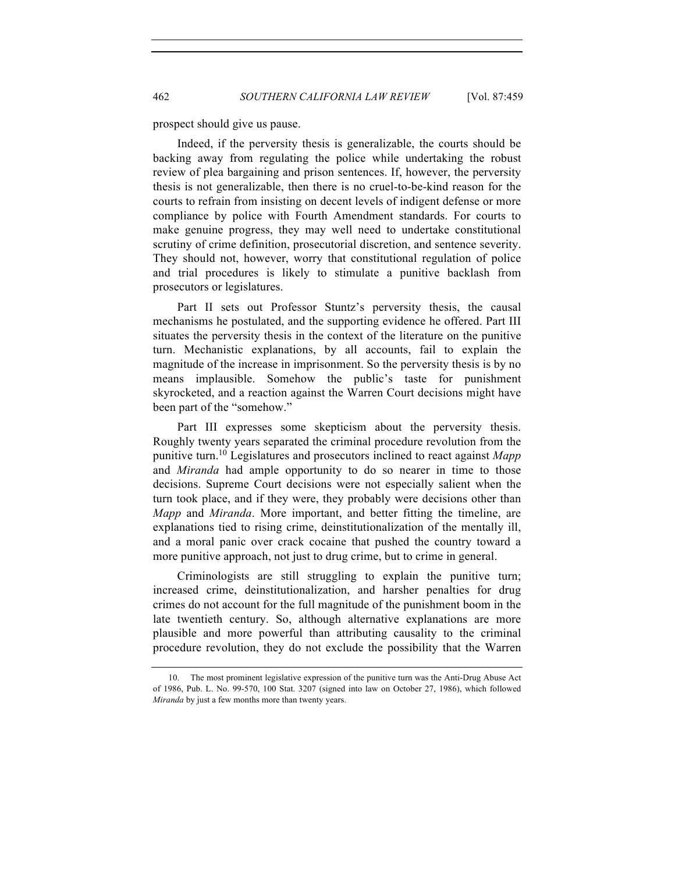prospect should give us pause.

Indeed, if the perversity thesis is generalizable, the courts should be backing away from regulating the police while undertaking the robust review of plea bargaining and prison sentences. If, however, the perversity thesis is not generalizable, then there is no cruel-to-be-kind reason for the courts to refrain from insisting on decent levels of indigent defense or more compliance by police with Fourth Amendment standards. For courts to make genuine progress, they may well need to undertake constitutional scrutiny of crime definition, prosecutorial discretion, and sentence severity. They should not, however, worry that constitutional regulation of police and trial procedures is likely to stimulate a punitive backlash from prosecutors or legislatures.

Part II sets out Professor Stuntz's perversity thesis, the causal mechanisms he postulated, and the supporting evidence he offered. Part III situates the perversity thesis in the context of the literature on the punitive turn. Mechanistic explanations, by all accounts, fail to explain the magnitude of the increase in imprisonment. So the perversity thesis is by no means implausible. Somehow the public's taste for punishment skyrocketed, and a reaction against the Warren Court decisions might have been part of the "somehow."

Part III expresses some skepticism about the perversity thesis. Roughly twenty years separated the criminal procedure revolution from the punitive turn.10 Legislatures and prosecutors inclined to react against *Mapp*  and *Miranda* had ample opportunity to do so nearer in time to those decisions. Supreme Court decisions were not especially salient when the turn took place, and if they were, they probably were decisions other than *Mapp* and *Miranda*. More important, and better fitting the timeline, are explanations tied to rising crime, deinstitutionalization of the mentally ill, and a moral panic over crack cocaine that pushed the country toward a more punitive approach, not just to drug crime, but to crime in general.

Criminologists are still struggling to explain the punitive turn; increased crime, deinstitutionalization, and harsher penalties for drug crimes do not account for the full magnitude of the punishment boom in the late twentieth century. So, although alternative explanations are more plausible and more powerful than attributing causality to the criminal procedure revolution, they do not exclude the possibility that the Warren

<sup>10.</sup> The most prominent legislative expression of the punitive turn was the Anti-Drug Abuse Act of 1986, Pub. L. No. 99-570, 100 Stat. 3207 (signed into law on October 27, 1986), which followed *Miranda* by just a few months more than twenty years.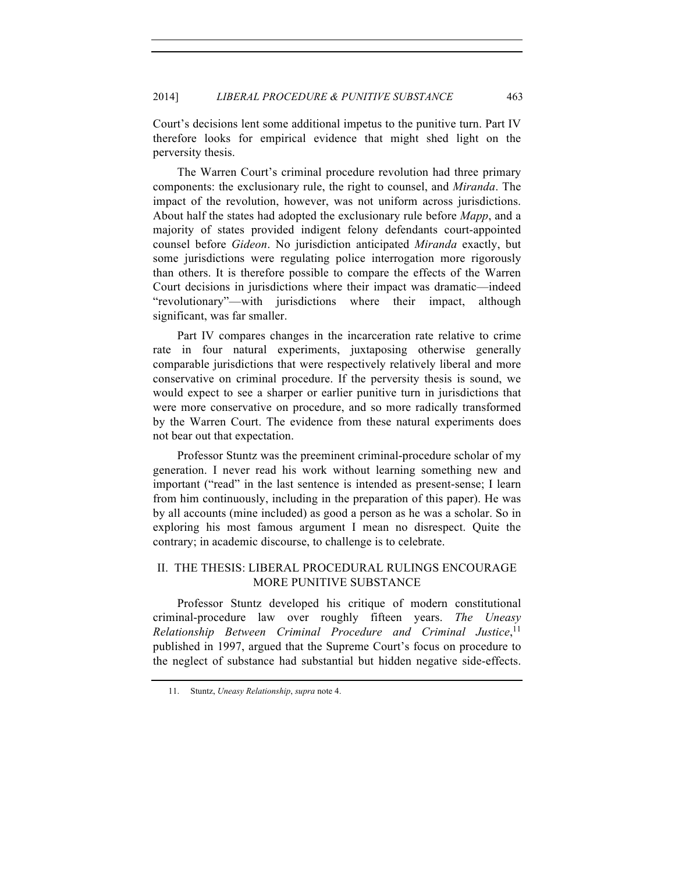Court's decisions lent some additional impetus to the punitive turn. Part IV therefore looks for empirical evidence that might shed light on the perversity thesis.

The Warren Court's criminal procedure revolution had three primary components: the exclusionary rule, the right to counsel, and *Miranda*. The impact of the revolution, however, was not uniform across jurisdictions. About half the states had adopted the exclusionary rule before *Mapp*, and a majority of states provided indigent felony defendants court-appointed counsel before *Gideon*. No jurisdiction anticipated *Miranda* exactly, but some jurisdictions were regulating police interrogation more rigorously than others. It is therefore possible to compare the effects of the Warren Court decisions in jurisdictions where their impact was dramatic—indeed "revolutionary"—with jurisdictions where their impact, although significant, was far smaller.

Part IV compares changes in the incarceration rate relative to crime rate in four natural experiments, juxtaposing otherwise generally comparable jurisdictions that were respectively relatively liberal and more conservative on criminal procedure. If the perversity thesis is sound, we would expect to see a sharper or earlier punitive turn in jurisdictions that were more conservative on procedure, and so more radically transformed by the Warren Court. The evidence from these natural experiments does not bear out that expectation.

Professor Stuntz was the preeminent criminal-procedure scholar of my generation. I never read his work without learning something new and important ("read" in the last sentence is intended as present-sense; I learn from him continuously, including in the preparation of this paper). He was by all accounts (mine included) as good a person as he was a scholar. So in exploring his most famous argument I mean no disrespect. Quite the contrary; in academic discourse, to challenge is to celebrate.

# II. THE THESIS: LIBERAL PROCEDURAL RULINGS ENCOURAGE MORE PUNITIVE SUBSTANCE

Professor Stuntz developed his critique of modern constitutional criminal-procedure law over roughly fifteen years. *The Uneasy Relationship Between Criminal Procedure and Criminal Justice*, 11 published in 1997, argued that the Supreme Court's focus on procedure to the neglect of substance had substantial but hidden negative side-effects.

<sup>11.</sup> Stuntz, *Uneasy Relationship*, *supra* note 4.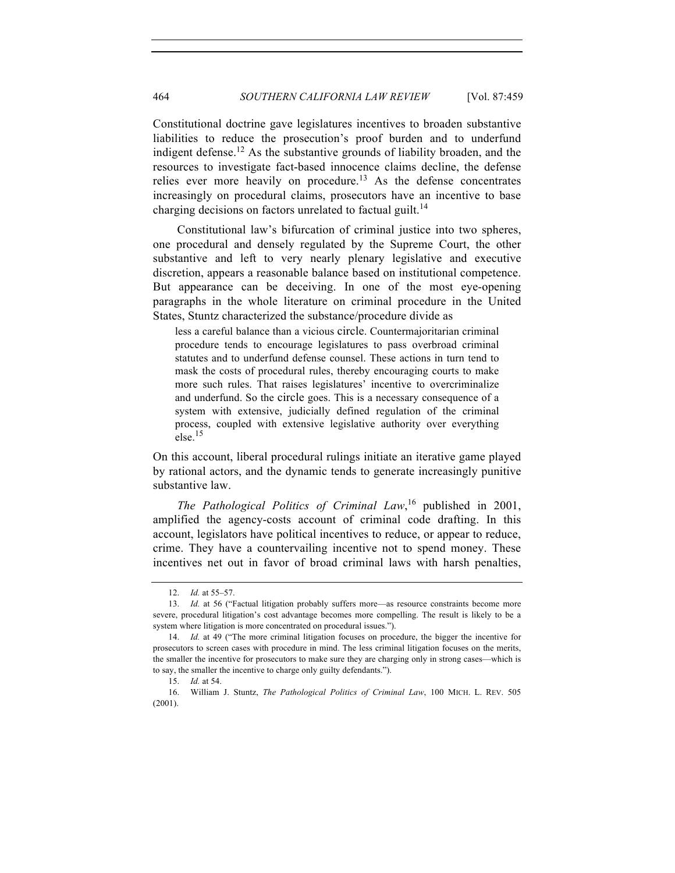Constitutional doctrine gave legislatures incentives to broaden substantive liabilities to reduce the prosecution's proof burden and to underfund indigent defense.<sup>12</sup> As the substantive grounds of liability broaden, and the resources to investigate fact-based innocence claims decline, the defense relies ever more heavily on procedure.<sup>13</sup> As the defense concentrates increasingly on procedural claims, prosecutors have an incentive to base charging decisions on factors unrelated to factual guilt.<sup>14</sup>

Constitutional law's bifurcation of criminal justice into two spheres, one procedural and densely regulated by the Supreme Court, the other substantive and left to very nearly plenary legislative and executive discretion, appears a reasonable balance based on institutional competence. But appearance can be deceiving. In one of the most eye-opening paragraphs in the whole literature on criminal procedure in the United States, Stuntz characterized the substance/procedure divide as

less a careful balance than a vicious circle. Countermajoritarian criminal procedure tends to encourage legislatures to pass overbroad criminal statutes and to underfund defense counsel. These actions in turn tend to mask the costs of procedural rules, thereby encouraging courts to make more such rules. That raises legislatures' incentive to overcriminalize and underfund. So the circle goes. This is a necessary consequence of a system with extensive, judicially defined regulation of the criminal process, coupled with extensive legislative authority over everything  $else.<sup>15</sup>$ 

On this account, liberal procedural rulings initiate an iterative game played by rational actors, and the dynamic tends to generate increasingly punitive substantive law.

*The Pathological Politics of Criminal Law*, <sup>16</sup> published in 2001, amplified the agency-costs account of criminal code drafting. In this account, legislators have political incentives to reduce, or appear to reduce, crime. They have a countervailing incentive not to spend money. These incentives net out in favor of broad criminal laws with harsh penalties,

<sup>12.</sup> *Id.* at 55–57.

<sup>13.</sup> *Id.* at 56 ("Factual litigation probably suffers more—as resource constraints become more severe, procedural litigation's cost advantage becomes more compelling. The result is likely to be a system where litigation is more concentrated on procedural issues.").

<sup>14.</sup> *Id.* at 49 ("The more criminal litigation focuses on procedure, the bigger the incentive for prosecutors to screen cases with procedure in mind. The less criminal litigation focuses on the merits, the smaller the incentive for prosecutors to make sure they are charging only in strong cases—which is to say, the smaller the incentive to charge only guilty defendants.").

<sup>15.</sup> *Id.* at 54.

<sup>16.</sup> William J. Stuntz, *The Pathological Politics of Criminal Law*, 100 MICH. L. REV. 505 (2001).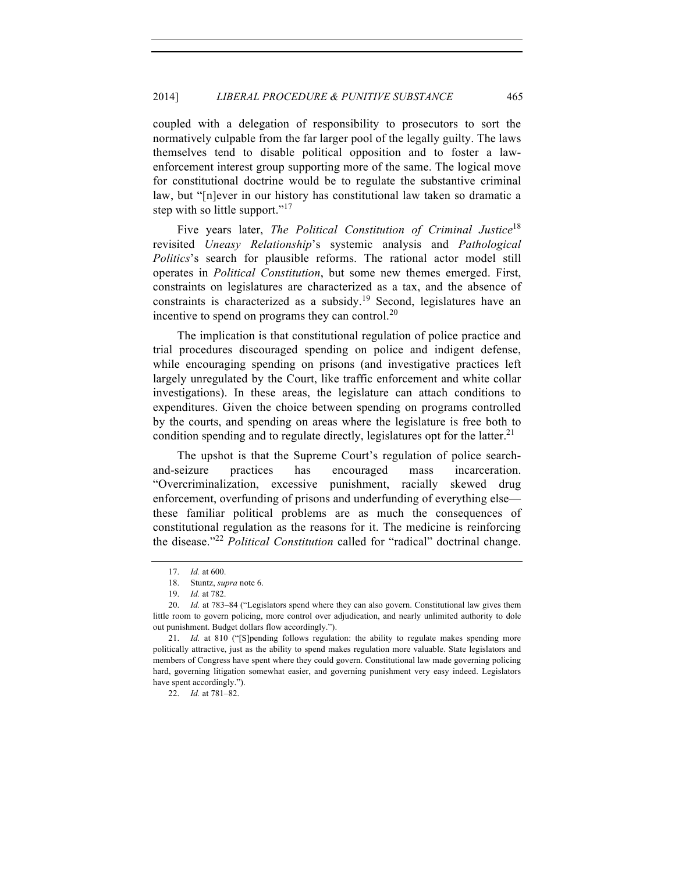coupled with a delegation of responsibility to prosecutors to sort the normatively culpable from the far larger pool of the legally guilty. The laws themselves tend to disable political opposition and to foster a lawenforcement interest group supporting more of the same. The logical move for constitutional doctrine would be to regulate the substantive criminal law, but "[n]ever in our history has constitutional law taken so dramatic a step with so little support."<sup>17</sup>

Five years later, *The Political Constitution of Criminal Justice*<sup>18</sup> revisited *Uneasy Relationship*'s systemic analysis and *Pathological Politics*'s search for plausible reforms. The rational actor model still operates in *Political Constitution*, but some new themes emerged. First, constraints on legislatures are characterized as a tax, and the absence of constraints is characterized as a subsidy.<sup>19</sup> Second, legislatures have an incentive to spend on programs they can control.<sup>20</sup>

The implication is that constitutional regulation of police practice and trial procedures discouraged spending on police and indigent defense, while encouraging spending on prisons (and investigative practices left largely unregulated by the Court, like traffic enforcement and white collar investigations). In these areas, the legislature can attach conditions to expenditures. Given the choice between spending on programs controlled by the courts, and spending on areas where the legislature is free both to condition spending and to regulate directly, legislatures opt for the latter.<sup>21</sup>

The upshot is that the Supreme Court's regulation of police searchand-seizure practices has encouraged mass incarceration. "Overcriminalization, excessive punishment, racially skewed drug enforcement, overfunding of prisons and underfunding of everything else these familiar political problems are as much the consequences of constitutional regulation as the reasons for it. The medicine is reinforcing the disease."<sup>22</sup> *Political Constitution* called for "radical" doctrinal change.

22. *Id.* at 781–82.

<sup>17.</sup> *Id.* at 600.

<sup>18.</sup> Stuntz, *supra* note 6.

<sup>19.</sup> *Id.* at 782.

<sup>20.</sup> *Id.* at 783–84 ("Legislators spend where they can also govern. Constitutional law gives them little room to govern policing, more control over adjudication, and nearly unlimited authority to dole out punishment. Budget dollars flow accordingly.").

<sup>21.</sup> *Id.* at 810 ("[S]pending follows regulation: the ability to regulate makes spending more politically attractive, just as the ability to spend makes regulation more valuable. State legislators and members of Congress have spent where they could govern. Constitutional law made governing policing hard, governing litigation somewhat easier, and governing punishment very easy indeed. Legislators have spent accordingly.").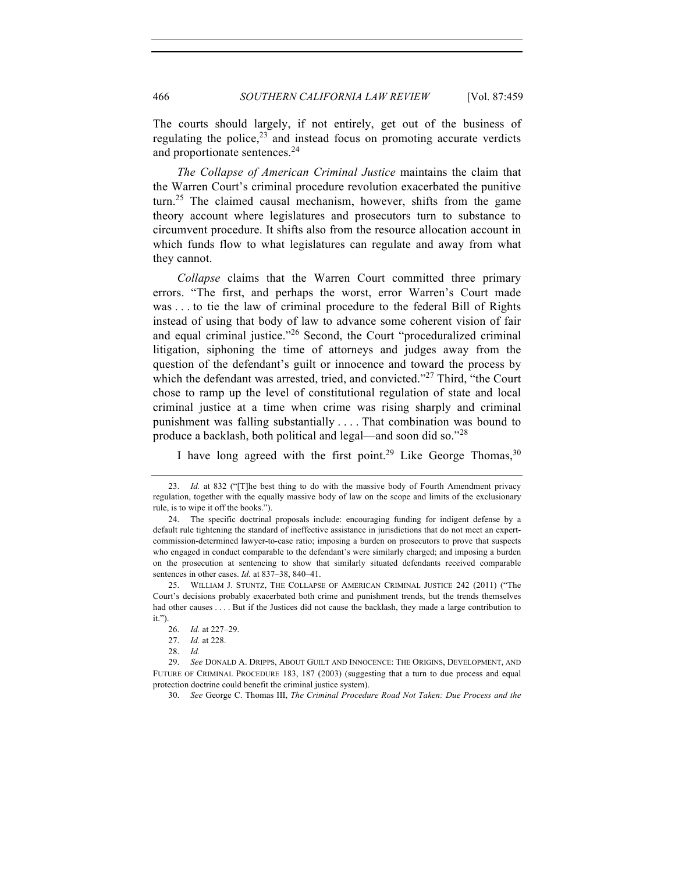The courts should largely, if not entirely, get out of the business of regulating the police, $2<sup>3</sup>$  and instead focus on promoting accurate verdicts and proportionate sentences.<sup>24</sup>

*The Collapse of American Criminal Justice* maintains the claim that the Warren Court's criminal procedure revolution exacerbated the punitive turn.<sup>25</sup> The claimed causal mechanism, however, shifts from the game theory account where legislatures and prosecutors turn to substance to circumvent procedure. It shifts also from the resource allocation account in which funds flow to what legislatures can regulate and away from what they cannot.

*Collapse* claims that the Warren Court committed three primary errors. "The first, and perhaps the worst, error Warren's Court made was . . . to tie the law of criminal procedure to the federal Bill of Rights instead of using that body of law to advance some coherent vision of fair and equal criminal justice."<sup>26</sup> Second, the Court "proceduralized criminal litigation, siphoning the time of attorneys and judges away from the question of the defendant's guilt or innocence and toward the process by which the defendant was arrested, tried, and convicted." $^{27}$  Third, "the Court chose to ramp up the level of constitutional regulation of state and local criminal justice at a time when crime was rising sharply and criminal punishment was falling substantially . . . . That combination was bound to produce a backlash, both political and legal—and soon did so."<sup>28</sup>

I have long agreed with the first point.<sup>29</sup> Like George Thomas,<sup>30</sup>

30. *See* George C. Thomas III, *The Criminal Procedure Road Not Taken: Due Process and the* 

<sup>23.</sup> *Id.* at 832 ("[T]he best thing to do with the massive body of Fourth Amendment privacy regulation, together with the equally massive body of law on the scope and limits of the exclusionary rule, is to wipe it off the books.").

<sup>24.</sup> The specific doctrinal proposals include: encouraging funding for indigent defense by a default rule tightening the standard of ineffective assistance in jurisdictions that do not meet an expertcommission-determined lawyer-to-case ratio; imposing a burden on prosecutors to prove that suspects who engaged in conduct comparable to the defendant's were similarly charged; and imposing a burden on the prosecution at sentencing to show that similarly situated defendants received comparable sentences in other cases. *Id.* at 837–38, 840–41.

<sup>25.</sup> WILLIAM J. STUNTZ, THE COLLAPSE OF AMERICAN CRIMINAL JUSTICE 242 (2011) ("The Court's decisions probably exacerbated both crime and punishment trends, but the trends themselves had other causes . . . . But if the Justices did not cause the backlash, they made a large contribution to it.").

<sup>26.</sup> *Id.* at 227–29.

<sup>27.</sup> *Id.* at 228.

<sup>28.</sup> *Id.* 

<sup>29.</sup> *See* DONALD A. DRIPPS, ABOUT GUILT AND INNOCENCE: THE ORIGINS, DEVELOPMENT, AND FUTURE OF CRIMINAL PROCEDURE 183, 187 (2003) (suggesting that a turn to due process and equal protection doctrine could benefit the criminal justice system).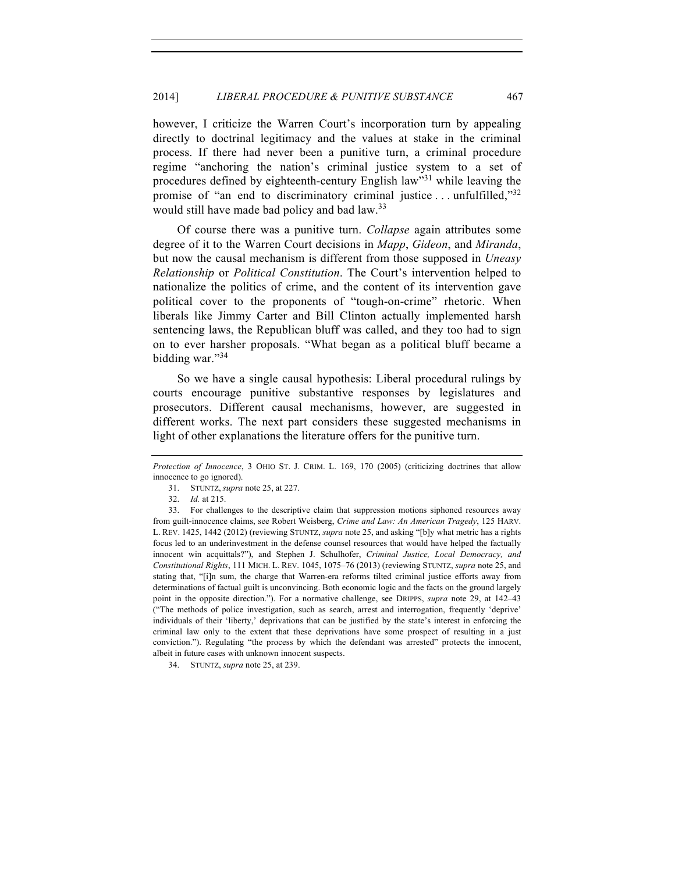however, I criticize the Warren Court's incorporation turn by appealing directly to doctrinal legitimacy and the values at stake in the criminal process. If there had never been a punitive turn, a criminal procedure regime "anchoring the nation's criminal justice system to a set of procedures defined by eighteenth-century English law"<sup>31</sup> while leaving the promise of "an end to discriminatory criminal justice  $\ldots$  unfulfilled," $32$ would still have made bad policy and bad law.<sup>33</sup>

Of course there was a punitive turn. *Collapse* again attributes some degree of it to the Warren Court decisions in *Mapp*, *Gideon*, and *Miranda*, but now the causal mechanism is different from those supposed in *Uneasy Relationship* or *Political Constitution*. The Court's intervention helped to nationalize the politics of crime, and the content of its intervention gave political cover to the proponents of "tough-on-crime" rhetoric. When liberals like Jimmy Carter and Bill Clinton actually implemented harsh sentencing laws, the Republican bluff was called, and they too had to sign on to ever harsher proposals. "What began as a political bluff became a bidding war."<sup>34</sup>

So we have a single causal hypothesis: Liberal procedural rulings by courts encourage punitive substantive responses by legislatures and prosecutors. Different causal mechanisms, however, are suggested in different works. The next part considers these suggested mechanisms in light of other explanations the literature offers for the punitive turn.

*Protection of Innocence*, 3 OHIO ST. J. CRIM. L. 169, 170 (2005) (criticizing doctrines that allow innocence to go ignored).

<sup>31.</sup> STUNTZ, *supra* note 25, at 227.

<sup>32.</sup> *Id.* at 215.

<sup>33.</sup> For challenges to the descriptive claim that suppression motions siphoned resources away from guilt-innocence claims, see Robert Weisberg, *Crime and Law: An American Tragedy*, 125 HARV. L. REV. 1425, 1442 (2012) (reviewing STUNTZ, *supra* note 25, and asking "[b]y what metric has a rights focus led to an underinvestment in the defense counsel resources that would have helped the factually innocent win acquittals?"), and Stephen J. Schulhofer, *Criminal Justice, Local Democracy, and Constitutional Rights*, 111 MICH. L. REV. 1045, 1075–76 (2013) (reviewing STUNTZ, *supra* note 25, and stating that, "[i]n sum, the charge that Warren-era reforms tilted criminal justice efforts away from determinations of factual guilt is unconvincing. Both economic logic and the facts on the ground largely point in the opposite direction."). For a normative challenge, see DRIPPS, *supra* note 29, at 142–43 ("The methods of police investigation, such as search, arrest and interrogation, frequently 'deprive' individuals of their 'liberty,' deprivations that can be justified by the state's interest in enforcing the criminal law only to the extent that these deprivations have some prospect of resulting in a just conviction."). Regulating "the process by which the defendant was arrested" protects the innocent, albeit in future cases with unknown innocent suspects.

<sup>34.</sup> STUNTZ, *supra* note 25, at 239.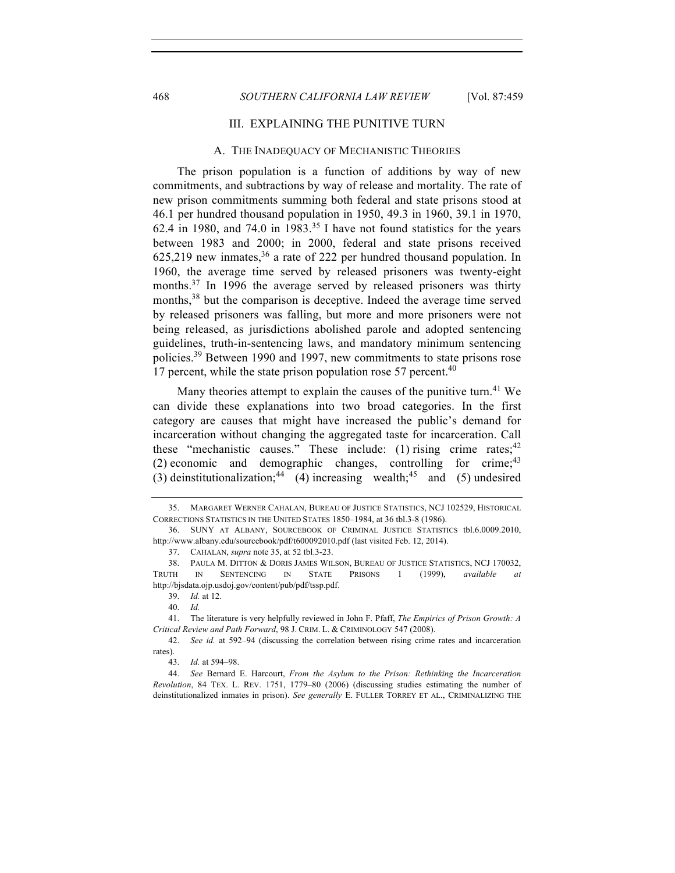#### 468 *SOUTHERN CALIFORNIA LAW REVIEW* [Vol. 87:459

#### III. EXPLAINING THE PUNITIVE TURN

### A. THE INADEQUACY OF MECHANISTIC THEORIES

The prison population is a function of additions by way of new commitments, and subtractions by way of release and mortality. The rate of new prison commitments summing both federal and state prisons stood at 46.1 per hundred thousand population in 1950, 49.3 in 1960, 39.1 in 1970, 62.4 in 1980, and 74.0 in 1983.<sup>35</sup> I have not found statistics for the years between 1983 and 2000; in 2000, federal and state prisons received  $625,219$  new inmates,<sup>36</sup> a rate of 222 per hundred thousand population. In 1960, the average time served by released prisoners was twenty-eight months.<sup>37</sup> In 1996 the average served by released prisoners was thirty months,<sup>38</sup> but the comparison is deceptive. Indeed the average time served by released prisoners was falling, but more and more prisoners were not being released, as jurisdictions abolished parole and adopted sentencing guidelines, truth-in-sentencing laws, and mandatory minimum sentencing policies.<sup>39</sup> Between 1990 and 1997, new commitments to state prisons rose 17 percent, while the state prison population rose 57 percent.<sup>40</sup>

Many theories attempt to explain the causes of the punitive turn.<sup>41</sup> We can divide these explanations into two broad categories. In the first category are causes that might have increased the public's demand for incarceration without changing the aggregated taste for incarceration. Call these "mechanistic causes." These include: (1) rising crime rates;  $42$ (2) economic and demographic changes, controlling for crime;  $43$ (3) deinstitutionalization;<sup>44</sup> (4) increasing wealth;<sup>45</sup> and (5) undesired

<sup>35.</sup> MARGARET WERNER CAHALAN, BUREAU OF JUSTICE STATISTICS, NCJ 102529, HISTORICAL CORRECTIONS STATISTICS IN THE UNITED STATES 1850–1984, at 36 tbl.3-8 (1986).

<sup>36.</sup> SUNY AT ALBANY, SOURCEBOOK OF CRIMINAL JUSTICE STATISTICS tbl.6.0009.2010, http://www.albany.edu/sourcebook/pdf/t600092010.pdf (last visited Feb. 12, 2014).

<sup>37.</sup> CAHALAN, *supra* note 35, at 52 tbl.3-23.

<sup>38.</sup> PAULA M. DITTON & DORIS JAMES WILSON, BUREAU OF JUSTICE STATISTICS, NCJ 170032, TRUTH IN SENTENCING IN STATE PRISONS 1 (1999), *available at*  http://bjsdata.ojp.usdoj.gov/content/pub/pdf/tssp.pdf.

<sup>39.</sup> *Id.* at 12.

<sup>40.</sup> *Id.* 

<sup>41.</sup> The literature is very helpfully reviewed in John F. Pfaff, *The Empirics of Prison Growth: A Critical Review and Path Forward*, 98 J. CRIM. L. & CRIMINOLOGY 547 (2008).

<sup>42.</sup> *See id.* at 592–94 (discussing the correlation between rising crime rates and incarceration rates).

<sup>43.</sup> *Id.* at 594–98.

<sup>44.</sup> *See* Bernard E. Harcourt, *From the Asylum to the Prison: Rethinking the Incarceration Revolution*, 84 TEX. L. REV. 1751, 1779–80 (2006) (discussing studies estimating the number of deinstitutionalized inmates in prison). *See generally* E. FULLER TORREY ET AL., CRIMINALIZING THE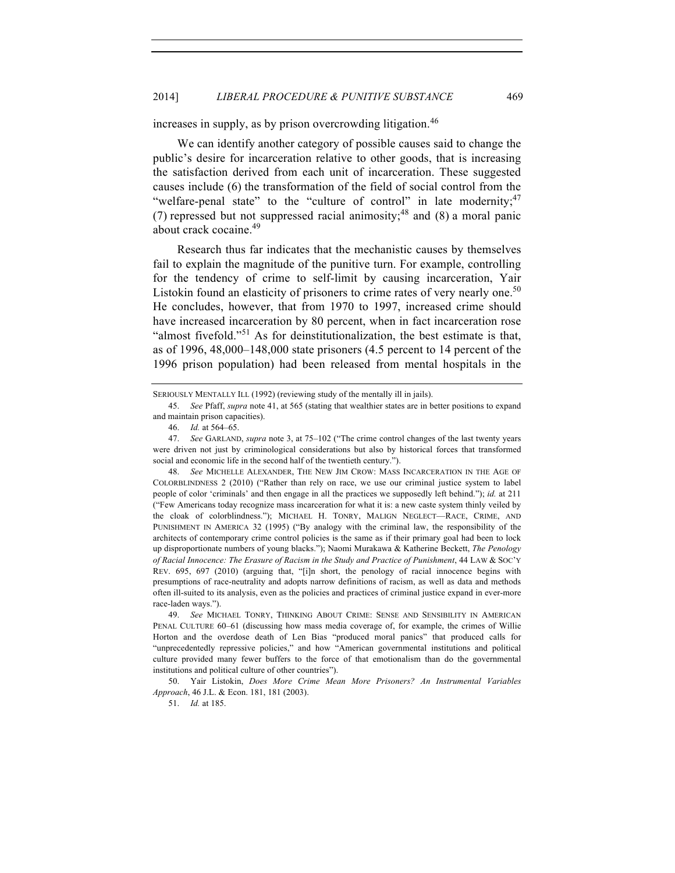increases in supply, as by prison overcrowding litigation.<sup>46</sup>

We can identify another category of possible causes said to change the public's desire for incarceration relative to other goods, that is increasing the satisfaction derived from each unit of incarceration. These suggested causes include (6) the transformation of the field of social control from the "welfare-penal state" to the "culture of control" in late modernity;  $47$ (7) repressed but not suppressed racial animosity;  $48$  and (8) a moral panic about crack cocaine.49

Research thus far indicates that the mechanistic causes by themselves fail to explain the magnitude of the punitive turn. For example, controlling for the tendency of crime to self-limit by causing incarceration, Yair Listokin found an elasticity of prisoners to crime rates of very nearly one.<sup>50</sup> He concludes, however, that from 1970 to 1997, increased crime should have increased incarceration by 80 percent, when in fact incarceration rose "almost fivefold."<sup>51</sup> As for deinstitutionalization, the best estimate is that, as of 1996, 48,000–148,000 state prisoners (4.5 percent to 14 percent of the 1996 prison population) had been released from mental hospitals in the

51. *Id.* at 185.

SERIOUSLY MENTALLY ILL (1992) (reviewing study of the mentally ill in jails).

<sup>45.</sup> *See* Pfaff, *supra* note 41, at 565 (stating that wealthier states are in better positions to expand and maintain prison capacities).

<sup>46.</sup> *Id.* at 564–65.

<sup>47.</sup> *See* GARLAND, *supra* note 3, at 75–102 ("The crime control changes of the last twenty years were driven not just by criminological considerations but also by historical forces that transformed social and economic life in the second half of the twentieth century.").

<sup>48.</sup> *See* MICHELLE ALEXANDER, THE NEW JIM CROW: MASS INCARCERATION IN THE AGE OF COLORBLINDNESS 2 (2010) ("Rather than rely on race, we use our criminal justice system to label people of color 'criminals' and then engage in all the practices we supposedly left behind."); *id.* at 211 ("Few Americans today recognize mass incarceration for what it is: a new caste system thinly veiled by the cloak of colorblindness."); MICHAEL H. TONRY, MALIGN NEGLECT—RACE, CRIME, AND PUNISHMENT IN AMERICA 32 (1995) ("By analogy with the criminal law, the responsibility of the architects of contemporary crime control policies is the same as if their primary goal had been to lock up disproportionate numbers of young blacks."); Naomi Murakawa & Katherine Beckett, *The Penology of Racial Innocence: The Erasure of Racism in the Study and Practice of Punishment*, 44 LAW & SOC'Y REV. 695, 697 (2010) (arguing that, "[i]n short, the penology of racial innocence begins with presumptions of race-neutrality and adopts narrow definitions of racism, as well as data and methods often ill-suited to its analysis, even as the policies and practices of criminal justice expand in ever-more race-laden ways.").

<sup>49.</sup> *See* MICHAEL TONRY, THINKING ABOUT CRIME: SENSE AND SENSIBILITY IN AMERICAN PENAL CULTURE 60–61 (discussing how mass media coverage of, for example, the crimes of Willie Horton and the overdose death of Len Bias "produced moral panics" that produced calls for "unprecedentedly repressive policies," and how "American governmental institutions and political culture provided many fewer buffers to the force of that emotionalism than do the governmental institutions and political culture of other countries").

<sup>50.</sup> Yair Listokin, *Does More Crime Mean More Prisoners? An Instrumental Variables Approach*, 46 J.L. & Econ. 181, 181 (2003).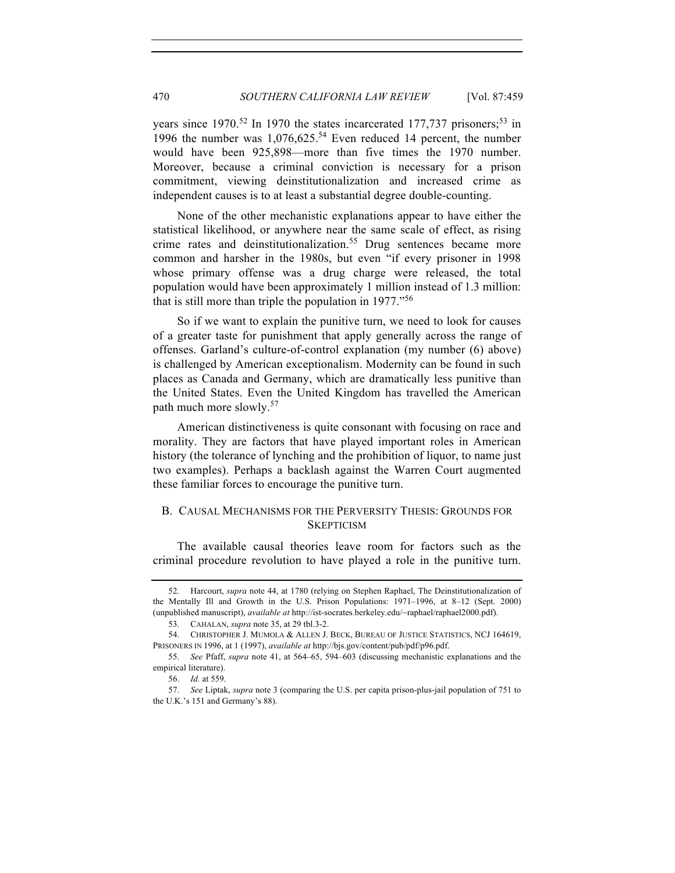years since 1970.<sup>52</sup> In 1970 the states incarcerated 177,737 prisoners;<sup>53</sup> in 1996 the number was  $1,076,625$ <sup>54</sup> Even reduced 14 percent, the number would have been 925,898—more than five times the 1970 number. Moreover, because a criminal conviction is necessary for a prison commitment, viewing deinstitutionalization and increased crime as independent causes is to at least a substantial degree double-counting.

None of the other mechanistic explanations appear to have either the statistical likelihood, or anywhere near the same scale of effect, as rising crime rates and deinstitutionalization.<sup>55</sup> Drug sentences became more common and harsher in the 1980s, but even "if every prisoner in 1998 whose primary offense was a drug charge were released, the total population would have been approximately 1 million instead of 1.3 million: that is still more than triple the population in 1977."<sup>56</sup>

So if we want to explain the punitive turn, we need to look for causes of a greater taste for punishment that apply generally across the range of offenses. Garland's culture-of-control explanation (my number (6) above) is challenged by American exceptionalism. Modernity can be found in such places as Canada and Germany, which are dramatically less punitive than the United States. Even the United Kingdom has travelled the American path much more slowly.<sup>57</sup>

American distinctiveness is quite consonant with focusing on race and morality. They are factors that have played important roles in American history (the tolerance of lynching and the prohibition of liquor, to name just two examples). Perhaps a backlash against the Warren Court augmented these familiar forces to encourage the punitive turn.

# B. CAUSAL MECHANISMS FOR THE PERVERSITY THESIS: GROUNDS FOR **SKEPTICISM**

The available causal theories leave room for factors such as the criminal procedure revolution to have played a role in the punitive turn.

<sup>52.</sup> Harcourt, *supra* note 44, at 1780 (relying on Stephen Raphael, The Deinstitutionalization of the Mentally Ill and Growth in the U.S. Prison Populations: 1971–1996, at 8–12 (Sept. 2000) (unpublished manuscript), *available at* http://ist-socrates.berkeley.edu/~raphael/raphael2000.pdf).

<sup>53.</sup> CAHALAN, *supra* note 35, at 29 tbl.3-2.

<sup>54.</sup> CHRISTOPHER J. MUMOLA & ALLEN J. BECK, BUREAU OF JUSTICE STATISTICS, NCJ 164619, PRISONERS IN 1996, at 1 (1997), *available at* http://bjs.gov/content/pub/pdf/p96.pdf.

<sup>55.</sup> *See* Pfaff, *supra* note 41, at 564–65, 594–603 (discussing mechanistic explanations and the empirical literature).

<sup>56.</sup> *Id.* at 559.

<sup>57.</sup> *See* Liptak, *supra* note 3 (comparing the U.S. per capita prison-plus-jail population of 751 to the U.K.'s 151 and Germany's 88).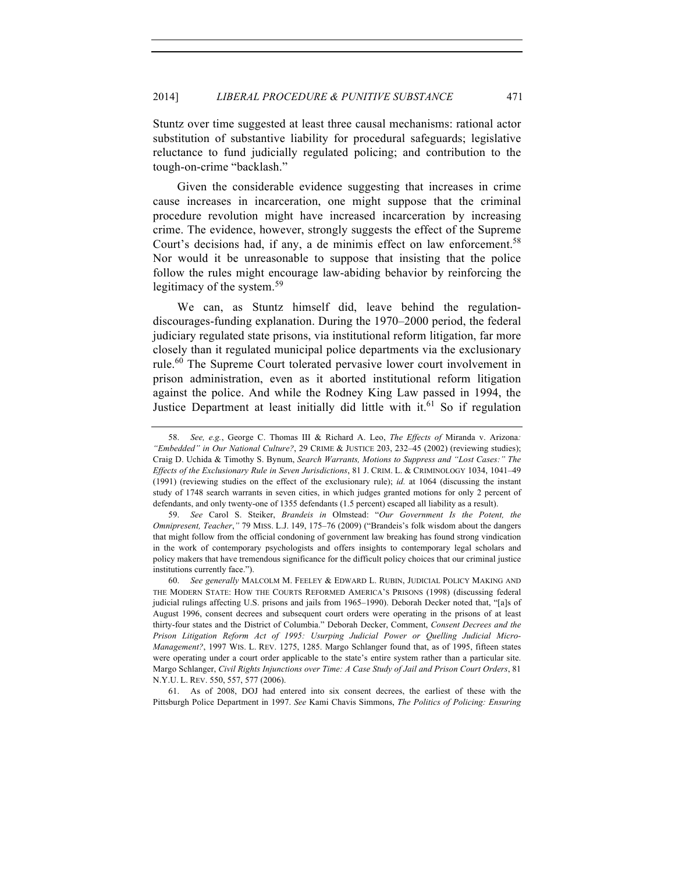Stuntz over time suggested at least three causal mechanisms: rational actor substitution of substantive liability for procedural safeguards; legislative reluctance to fund judicially regulated policing; and contribution to the tough-on-crime "backlash."

Given the considerable evidence suggesting that increases in crime cause increases in incarceration, one might suppose that the criminal procedure revolution might have increased incarceration by increasing crime. The evidence, however, strongly suggests the effect of the Supreme Court's decisions had, if any, a de minimis effect on law enforcement.<sup>58</sup> Nor would it be unreasonable to suppose that insisting that the police follow the rules might encourage law-abiding behavior by reinforcing the legitimacy of the system.<sup>59</sup>

We can, as Stuntz himself did, leave behind the regulationdiscourages-funding explanation. During the 1970–2000 period, the federal judiciary regulated state prisons, via institutional reform litigation, far more closely than it regulated municipal police departments via the exclusionary rule.<sup>60</sup> The Supreme Court tolerated pervasive lower court involvement in prison administration, even as it aborted institutional reform litigation against the police. And while the Rodney King Law passed in 1994, the Justice Department at least initially did little with it.<sup>61</sup> So if regulation

61. As of 2008, DOJ had entered into six consent decrees, the earliest of these with the Pittsburgh Police Department in 1997. *See* Kami Chavis Simmons, *The Politics of Policing: Ensuring* 

<sup>58.</sup> *See, e.g.*, George C. Thomas III & Richard A. Leo, *The Effects of* Miranda v. Arizona*: "Embedded" in Our National Culture?*, 29 CRIME & JUSTICE 203, 232–45 (2002) (reviewing studies); Craig D. Uchida & Timothy S. Bynum, *Search Warrants, Motions to Suppress and "Lost Cases:" The Effects of the Exclusionary Rule in Seven Jurisdictions*, 81 J. CRIM. L. & CRIMINOLOGY 1034, 1041–49 (1991) (reviewing studies on the effect of the exclusionary rule); *id.* at 1064 (discussing the instant study of 1748 search warrants in seven cities, in which judges granted motions for only 2 percent of defendants, and only twenty-one of 1355 defendants (1.5 percent) escaped all liability as a result).

<sup>59.</sup> *See* Carol S. Steiker, *Brandeis in* Olmstead: "*Our Government Is the Potent, the Omnipresent, Teacher*,*"* 79 MISS. L.J. 149, 175–76 (2009) ("Brandeis's folk wisdom about the dangers that might follow from the official condoning of government law breaking has found strong vindication in the work of contemporary psychologists and offers insights to contemporary legal scholars and policy makers that have tremendous significance for the difficult policy choices that our criminal justice institutions currently face.").

<sup>60.</sup> *See generally* MALCOLM M. FEELEY & EDWARD L. RUBIN, JUDICIAL POLICY MAKING AND THE MODERN STATE: HOW THE COURTS REFORMED AMERICA'S PRISONS (1998) (discussing federal judicial rulings affecting U.S. prisons and jails from 1965–1990). Deborah Decker noted that, "[a]s of August 1996, consent decrees and subsequent court orders were operating in the prisons of at least thirty-four states and the District of Columbia." Deborah Decker, Comment, *Consent Decrees and the Prison Litigation Reform Act of 1995: Usurping Judicial Power or Quelling Judicial Micro-Management?*, 1997 WIS. L. REV. 1275, 1285. Margo Schlanger found that, as of 1995, fifteen states were operating under a court order applicable to the state's entire system rather than a particular site. Margo Schlanger, *Civil Rights Injunctions over Time: A Case Study of Jail and Prison Court Orders*, 81 N.Y.U. L. REV. 550, 557, 577 (2006).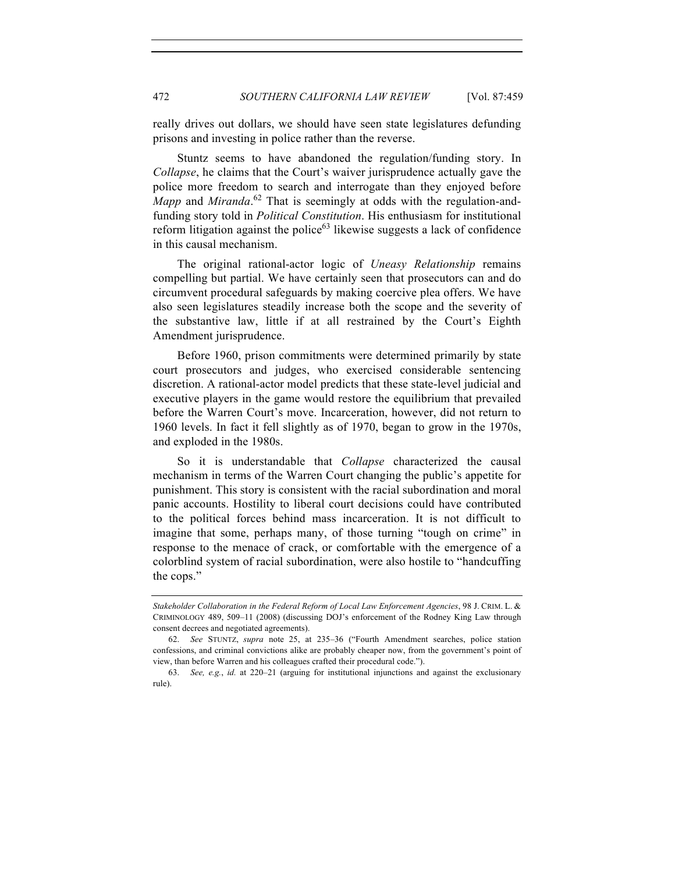really drives out dollars, we should have seen state legislatures defunding prisons and investing in police rather than the reverse.

Stuntz seems to have abandoned the regulation/funding story. In *Collapse*, he claims that the Court's waiver jurisprudence actually gave the police more freedom to search and interrogate than they enjoyed before *Mapp* and *Miranda*. <sup>62</sup> That is seemingly at odds with the regulation-andfunding story told in *Political Constitution*. His enthusiasm for institutional reform litigation against the police<sup>63</sup> likewise suggests a lack of confidence in this causal mechanism.

The original rational-actor logic of *Uneasy Relationship* remains compelling but partial. We have certainly seen that prosecutors can and do circumvent procedural safeguards by making coercive plea offers. We have also seen legislatures steadily increase both the scope and the severity of the substantive law, little if at all restrained by the Court's Eighth Amendment jurisprudence.

Before 1960, prison commitments were determined primarily by state court prosecutors and judges, who exercised considerable sentencing discretion. A rational-actor model predicts that these state-level judicial and executive players in the game would restore the equilibrium that prevailed before the Warren Court's move. Incarceration, however, did not return to 1960 levels. In fact it fell slightly as of 1970, began to grow in the 1970s, and exploded in the 1980s.

So it is understandable that *Collapse* characterized the causal mechanism in terms of the Warren Court changing the public's appetite for punishment. This story is consistent with the racial subordination and moral panic accounts. Hostility to liberal court decisions could have contributed to the political forces behind mass incarceration. It is not difficult to imagine that some, perhaps many, of those turning "tough on crime" in response to the menace of crack, or comfortable with the emergence of a colorblind system of racial subordination, were also hostile to "handcuffing the cops."

*Stakeholder Collaboration in the Federal Reform of Local Law Enforcement Agencies*, 98 J. CRIM. L. & CRIMINOLOGY 489, 509–11 (2008) (discussing DOJ's enforcement of the Rodney King Law through consent decrees and negotiated agreements).

<sup>62.</sup> *See* STUNTZ, *supra* note 25, at 235–36 ("Fourth Amendment searches, police station confessions, and criminal convictions alike are probably cheaper now, from the government's point of view, than before Warren and his colleagues crafted their procedural code.").

<sup>63.</sup> *See, e.g.*, *id.* at 220–21 (arguing for institutional injunctions and against the exclusionary rule).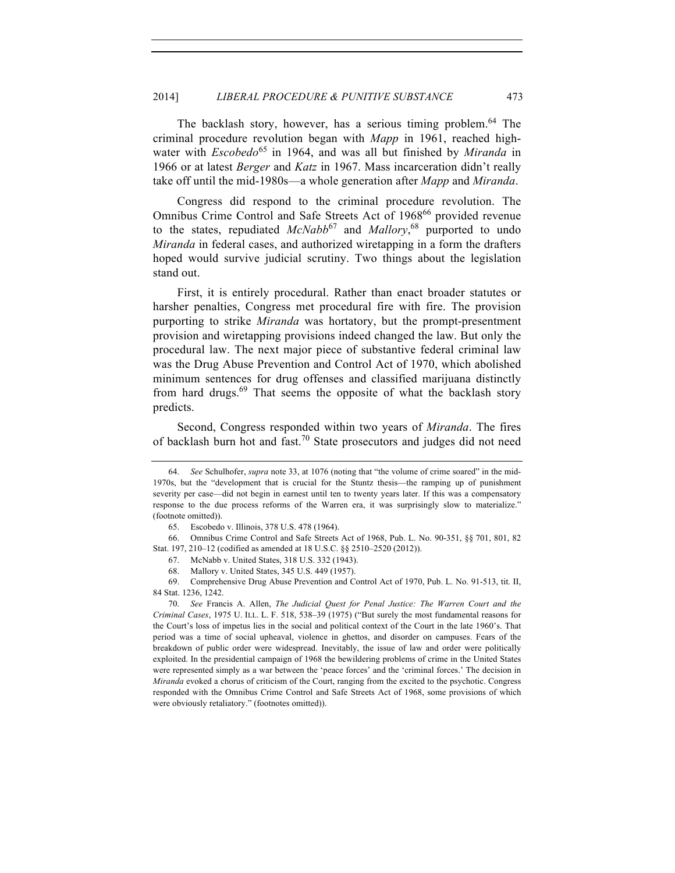The backlash story, however, has a serious timing problem.<sup>64</sup> The criminal procedure revolution began with *Mapp* in 1961, reached highwater with *Escobedo*<sup>65</sup> in 1964, and was all but finished by *Miranda* in 1966 or at latest *Berger* and *Katz* in 1967. Mass incarceration didn't really take off until the mid-1980s—a whole generation after *Mapp* and *Miranda*.

Congress did respond to the criminal procedure revolution. The Omnibus Crime Control and Safe Streets Act of 1968<sup>66</sup> provided revenue to the states, repudiated *McNabb*<sup>67</sup> and *Mallory*, <sup>68</sup> purported to undo *Miranda* in federal cases, and authorized wiretapping in a form the drafters hoped would survive judicial scrutiny. Two things about the legislation stand out.

First, it is entirely procedural. Rather than enact broader statutes or harsher penalties, Congress met procedural fire with fire. The provision purporting to strike *Miranda* was hortatory, but the prompt-presentment provision and wiretapping provisions indeed changed the law. But only the procedural law. The next major piece of substantive federal criminal law was the Drug Abuse Prevention and Control Act of 1970, which abolished minimum sentences for drug offenses and classified marijuana distinctly from hard drugs. $69$  That seems the opposite of what the backlash story predicts.

Second, Congress responded within two years of *Miranda*. The fires of backlash burn hot and fast.70 State prosecutors and judges did not need

<sup>64.</sup> *See* Schulhofer, *supra* note 33, at 1076 (noting that "the volume of crime soared" in the mid-1970s, but the "development that is crucial for the Stuntz thesis—the ramping up of punishment severity per case—did not begin in earnest until ten to twenty years later. If this was a compensatory response to the due process reforms of the Warren era, it was surprisingly slow to materialize." (footnote omitted)).

<sup>65.</sup> Escobedo v. Illinois, 378 U.S. 478 (1964).

<sup>66.</sup> Omnibus Crime Control and Safe Streets Act of 1968, Pub. L. No. 90-351, §§ 701, 801, 82 Stat. 197, 210–12 (codified as amended at 18 U.S.C. §§ 2510–2520 (2012)).

<sup>67.</sup> McNabb v. United States, 318 U.S. 332 (1943).

<sup>68.</sup> Mallory v. United States, 345 U.S. 449 (1957).

<sup>69.</sup> Comprehensive Drug Abuse Prevention and Control Act of 1970, Pub. L. No. 91-513, tit. II, 84 Stat. 1236, 1242.

<sup>70.</sup> *See* Francis A. Allen, *The Judicial Quest for Penal Justice: The Warren Court and the Criminal Cases*, 1975 U. ILL. L. F. 518, 538–39 (1975) ("But surely the most fundamental reasons for the Court's loss of impetus lies in the social and political context of the Court in the late 1960's. That period was a time of social upheaval, violence in ghettos, and disorder on campuses. Fears of the breakdown of public order were widespread. Inevitably, the issue of law and order were politically exploited. In the presidential campaign of 1968 the bewildering problems of crime in the United States were represented simply as a war between the 'peace forces' and the 'criminal forces.' The decision in *Miranda* evoked a chorus of criticism of the Court, ranging from the excited to the psychotic. Congress responded with the Omnibus Crime Control and Safe Streets Act of 1968, some provisions of which were obviously retaliatory." (footnotes omitted)).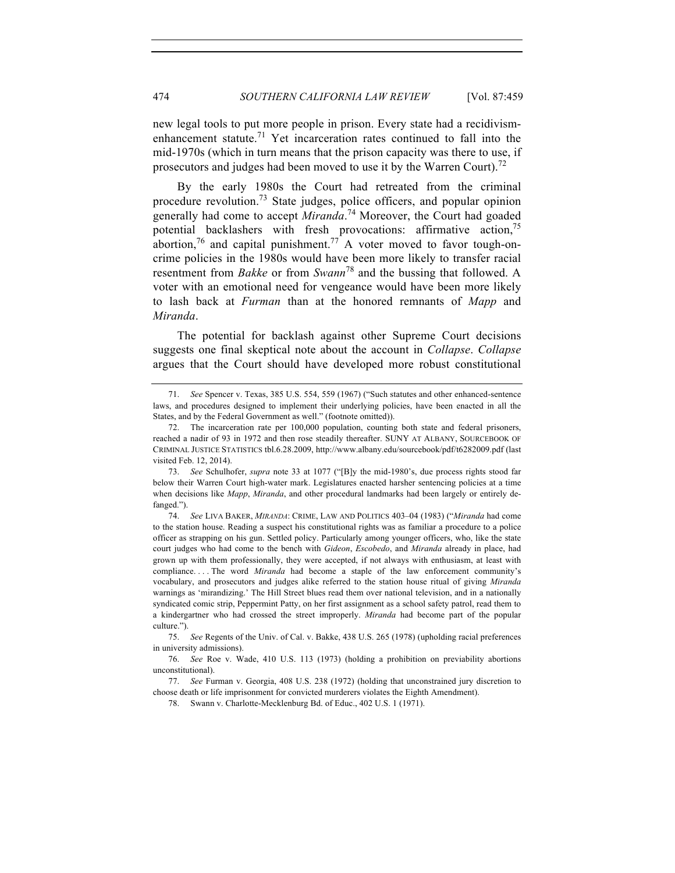new legal tools to put more people in prison. Every state had a recidivismenhancement statute.<sup>71</sup> Yet incarceration rates continued to fall into the mid-1970s (which in turn means that the prison capacity was there to use, if prosecutors and judges had been moved to use it by the Warren Court).<sup>72</sup>

By the early 1980s the Court had retreated from the criminal procedure revolution.<sup>73</sup> State judges, police officers, and popular opinion generally had come to accept *Miranda*. <sup>74</sup> Moreover, the Court had goaded potential backlashers with fresh provocations: affirmative action,<sup>75</sup> abortion,<sup>76</sup> and capital punishment.<sup>77</sup> A voter moved to favor tough-oncrime policies in the 1980s would have been more likely to transfer racial resentment from *Bakke* or from *Swann*<sup>78</sup> and the bussing that followed. A voter with an emotional need for vengeance would have been more likely to lash back at *Furman* than at the honored remnants of *Mapp* and *Miranda*.

The potential for backlash against other Supreme Court decisions suggests one final skeptical note about the account in *Collapse*. *Collapse* argues that the Court should have developed more robust constitutional

<sup>71.</sup> *See* Spencer v. Texas, 385 U.S. 554, 559 (1967) ("Such statutes and other enhanced-sentence laws, and procedures designed to implement their underlying policies, have been enacted in all the States, and by the Federal Government as well." (footnote omitted)).

<sup>72.</sup> The incarceration rate per 100,000 population, counting both state and federal prisoners, reached a nadir of 93 in 1972 and then rose steadily thereafter. SUNY AT ALBANY, SOURCEBOOK OF CRIMINAL JUSTICE STATISTICS tbl.6.28.2009, http://www.albany.edu/sourcebook/pdf/t6282009.pdf (last visited Feb. 12, 2014).

<sup>73.</sup> *See* Schulhofer, *supra* note 33 at 1077 ("[B]y the mid-1980's, due process rights stood far below their Warren Court high-water mark. Legislatures enacted harsher sentencing policies at a time when decisions like *Mapp*, *Miranda*, and other procedural landmarks had been largely or entirely defanged.").

<sup>74.</sup> *See* LIVA BAKER, *MIRANDA*: CRIME, LAW AND POLITICS 403–04 (1983) ("*Miranda* had come to the station house. Reading a suspect his constitutional rights was as familiar a procedure to a police officer as strapping on his gun. Settled policy. Particularly among younger officers, who, like the state court judges who had come to the bench with *Gideon*, *Escobedo*, and *Miranda* already in place, had grown up with them professionally, they were accepted, if not always with enthusiasm, at least with compliance. . . . The word *Miranda* had become a staple of the law enforcement community's vocabulary, and prosecutors and judges alike referred to the station house ritual of giving *Miranda* warnings as 'mirandizing.' The Hill Street blues read them over national television, and in a nationally syndicated comic strip, Peppermint Patty, on her first assignment as a school safety patrol, read them to a kindergartner who had crossed the street improperly. *Miranda* had become part of the popular culture.").

<sup>75.</sup> *See* Regents of the Univ. of Cal. v. Bakke, 438 U.S. 265 (1978) (upholding racial preferences in university admissions).

<sup>76.</sup> *See* Roe v. Wade, 410 U.S. 113 (1973) (holding a prohibition on previability abortions unconstitutional).

<sup>77.</sup> *See* Furman v. Georgia, 408 U.S. 238 (1972) (holding that unconstrained jury discretion to choose death or life imprisonment for convicted murderers violates the Eighth Amendment).

<sup>78.</sup> Swann v. Charlotte-Mecklenburg Bd. of Educ., 402 U.S. 1 (1971).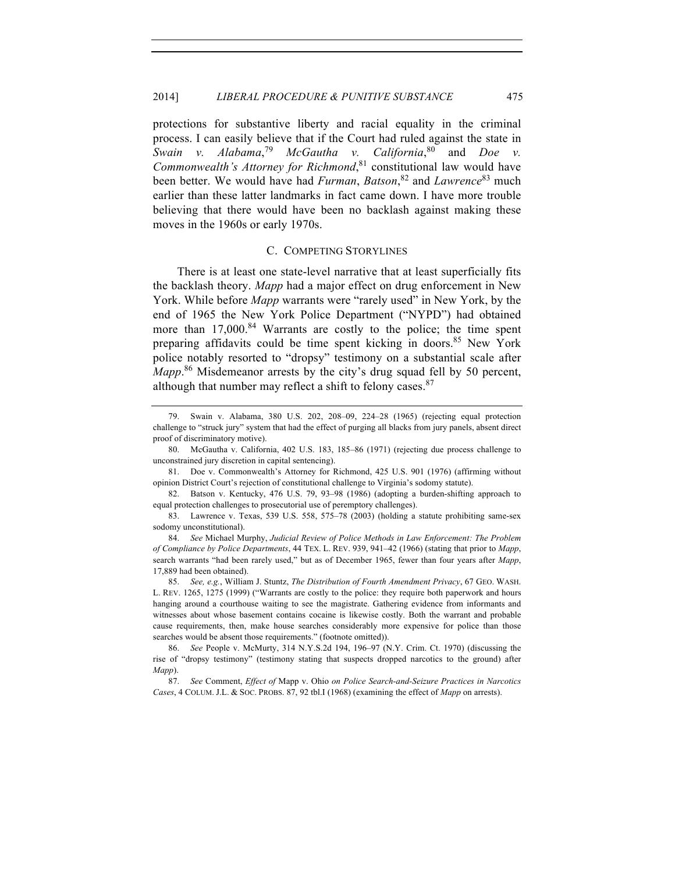protections for substantive liberty and racial equality in the criminal process. I can easily believe that if the Court had ruled against the state in *Swain v.* <sup>79</sup> *McGautha v. California*, <sup>80</sup> and *Doe v. Commonwealth's Attorney for Richmond*, <sup>81</sup> constitutional law would have been better. We would have had *Furman*, *Batson*, <sup>82</sup> and *Lawrence*<sup>83</sup> much earlier than these latter landmarks in fact came down. I have more trouble believing that there would have been no backlash against making these moves in the 1960s or early 1970s.

#### C. COMPETING STORYLINES

There is at least one state-level narrative that at least superficially fits the backlash theory. *Mapp* had a major effect on drug enforcement in New York. While before *Mapp* warrants were "rarely used" in New York, by the end of 1965 the New York Police Department ("NYPD") had obtained more than  $17,000$ .<sup>84</sup> Warrants are costly to the police; the time spent preparing affidavits could be time spent kicking in doors.<sup>85</sup> New York police notably resorted to "dropsy" testimony on a substantial scale after *Mapp*. <sup>86</sup> Misdemeanor arrests by the city's drug squad fell by 50 percent, although that number may reflect a shift to felony cases.  $87$ 

<sup>79.</sup> Swain v. Alabama, 380 U.S. 202, 208–09, 224–28 (1965) (rejecting equal protection challenge to "struck jury" system that had the effect of purging all blacks from jury panels, absent direct proof of discriminatory motive).

<sup>80.</sup> McGautha v. California, 402 U.S. 183, 185–86 (1971) (rejecting due process challenge to unconstrained jury discretion in capital sentencing).

<sup>81.</sup> Doe v. Commonwealth's Attorney for Richmond, 425 U.S. 901 (1976) (affirming without opinion District Court's rejection of constitutional challenge to Virginia's sodomy statute).

<sup>82.</sup> Batson v. Kentucky, 476 U.S. 79, 93–98 (1986) (adopting a burden-shifting approach to equal protection challenges to prosecutorial use of peremptory challenges).

<sup>83.</sup> Lawrence v. Texas, 539 U.S. 558, 575–78 (2003) (holding a statute prohibiting same-sex sodomy unconstitutional).

<sup>84.</sup> *See* Michael Murphy, *Judicial Review of Police Methods in Law Enforcement: The Problem of Compliance by Police Departments*, 44 TEX. L. REV. 939, 941–42 (1966) (stating that prior to *Mapp*, search warrants "had been rarely used," but as of December 1965, fewer than four years after *Mapp*, 17,889 had been obtained).

<sup>85.</sup> *See, e.g.*, William J. Stuntz, *The Distribution of Fourth Amendment Privacy*, 67 GEO. WASH. L. REV. 1265, 1275 (1999) ("Warrants are costly to the police: they require both paperwork and hours hanging around a courthouse waiting to see the magistrate. Gathering evidence from informants and witnesses about whose basement contains cocaine is likewise costly. Both the warrant and probable cause requirements, then, make house searches considerably more expensive for police than those searches would be absent those requirements." (footnote omitted)).

<sup>86.</sup> *See* People v. McMurty, 314 N.Y.S.2d 194, 196–97 (N.Y. Crim. Ct. 1970) (discussing the rise of "dropsy testimony" (testimony stating that suspects dropped narcotics to the ground) after *Mapp*).

<sup>87.</sup> *See* Comment, *Effect of* Mapp v. Ohio *on Police Search-and-Seizure Practices in Narcotics Cases*, 4 COLUM. J.L. & SOC. PROBS. 87, 92 tbl.I (1968) (examining the effect of *Mapp* on arrests).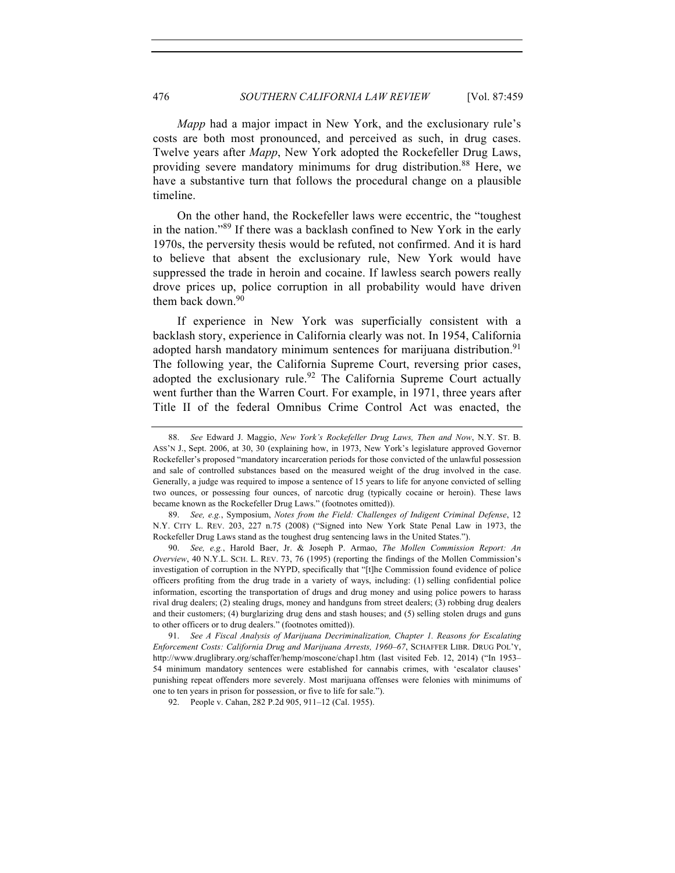*Mapp* had a major impact in New York, and the exclusionary rule's costs are both most pronounced, and perceived as such, in drug cases. Twelve years after *Mapp*, New York adopted the Rockefeller Drug Laws, providing severe mandatory minimums for drug distribution.<sup>88</sup> Here, we have a substantive turn that follows the procedural change on a plausible timeline.

On the other hand, the Rockefeller laws were eccentric, the "toughest in the nation."<sup>89</sup> If there was a backlash confined to New York in the early 1970s, the perversity thesis would be refuted, not confirmed. And it is hard to believe that absent the exclusionary rule, New York would have suppressed the trade in heroin and cocaine. If lawless search powers really drove prices up, police corruption in all probability would have driven them back down.  $90$ 

If experience in New York was superficially consistent with a backlash story, experience in California clearly was not. In 1954, California adopted harsh mandatory minimum sentences for marijuana distribution.<sup>91</sup> The following year, the California Supreme Court, reversing prior cases, adopted the exclusionary rule.<sup>92</sup> The California Supreme Court actually went further than the Warren Court. For example, in 1971, three years after Title II of the federal Omnibus Crime Control Act was enacted, the

89. *See, e.g.*, Symposium, *Notes from the Field: Challenges of Indigent Criminal Defense*, 12 N.Y. CITY L. REV. 203, 227 n.75 (2008) ("Signed into New York State Penal Law in 1973, the Rockefeller Drug Laws stand as the toughest drug sentencing laws in the United States.").

90. *See, e.g.*, Harold Baer, Jr. & Joseph P. Armao, *The Mollen Commission Report: An Overview*, 40 N.Y.L. SCH. L. REV. 73, 76 (1995) (reporting the findings of the Mollen Commission's investigation of corruption in the NYPD, specifically that "[t]he Commission found evidence of police officers profiting from the drug trade in a variety of ways, including: (1) selling confidential police information, escorting the transportation of drugs and drug money and using police powers to harass rival drug dealers; (2) stealing drugs, money and handguns from street dealers; (3) robbing drug dealers and their customers; (4) burglarizing drug dens and stash houses; and (5) selling stolen drugs and guns to other officers or to drug dealers." (footnotes omitted)).

91. *See A Fiscal Analysis of Marijuana Decriminalization, Chapter 1. Reasons for Escalating Enforcement Costs: California Drug and Marijuana Arrests, 1960–67*, SCHAFFER LIBR. DRUG POL'Y, http://www.druglibrary.org/schaffer/hemp/moscone/chap1.htm (last visited Feb. 12, 2014) ("In 1953– 54 minimum mandatory sentences were established for cannabis crimes, with 'escalator clauses' punishing repeat offenders more severely. Most marijuana offenses were felonies with minimums of one to ten years in prison for possession, or five to life for sale.").

<sup>88.</sup> *See* Edward J. Maggio, *New York's Rockefeller Drug Laws, Then and Now*, N.Y. ST. B. ASS'N J., Sept. 2006, at 30, 30 (explaining how, in 1973, New York's legislature approved Governor Rockefeller's proposed "mandatory incarceration periods for those convicted of the unlawful possession and sale of controlled substances based on the measured weight of the drug involved in the case. Generally, a judge was required to impose a sentence of 15 years to life for anyone convicted of selling two ounces, or possessing four ounces, of narcotic drug (typically cocaine or heroin). These laws became known as the Rockefeller Drug Laws." (footnotes omitted)).

<sup>92.</sup> People v. Cahan, 282 P.2d 905, 911–12 (Cal. 1955).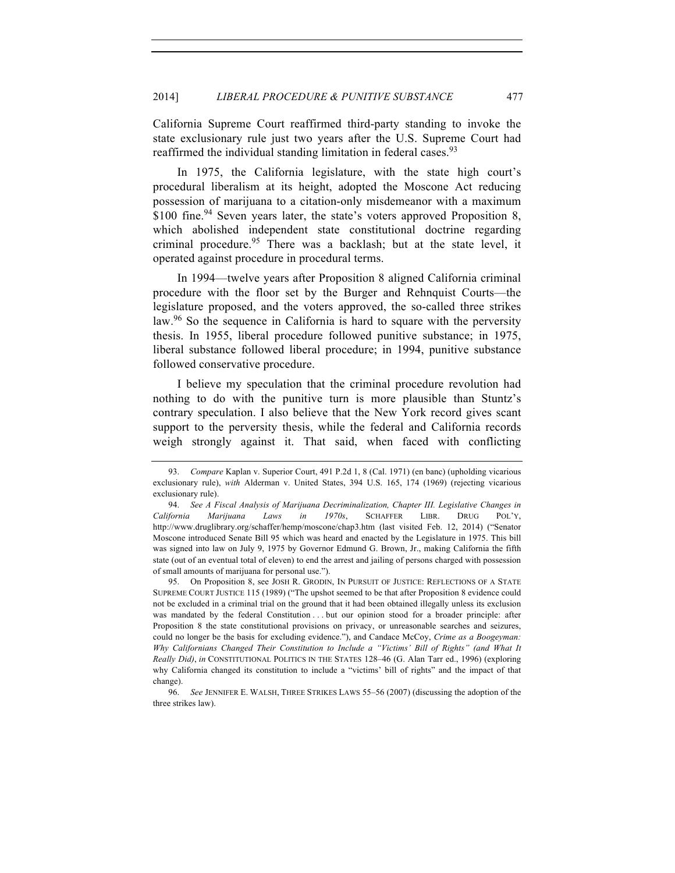California Supreme Court reaffirmed third-party standing to invoke the state exclusionary rule just two years after the U.S. Supreme Court had reaffirmed the individual standing limitation in federal cases.<sup>93</sup>

In 1975, the California legislature, with the state high court's procedural liberalism at its height, adopted the Moscone Act reducing possession of marijuana to a citation-only misdemeanor with a maximum \$100 fine.<sup>94</sup> Seven years later, the state's voters approved Proposition 8, which abolished independent state constitutional doctrine regarding criminal procedure.<sup>95</sup> There was a backlash; but at the state level, it operated against procedure in procedural terms.

In 1994—twelve years after Proposition 8 aligned California criminal procedure with the floor set by the Burger and Rehnquist Courts—the legislature proposed, and the voters approved, the so-called three strikes law.<sup>96</sup> So the sequence in California is hard to square with the perversity thesis. In 1955, liberal procedure followed punitive substance; in 1975, liberal substance followed liberal procedure; in 1994, punitive substance followed conservative procedure.

I believe my speculation that the criminal procedure revolution had nothing to do with the punitive turn is more plausible than Stuntz's contrary speculation. I also believe that the New York record gives scant support to the perversity thesis, while the federal and California records weigh strongly against it. That said, when faced with conflicting

95. On Proposition 8, see JOSH R. GRODIN, IN PURSUIT OF JUSTICE: REFLECTIONS OF A STATE SUPREME COURT JUSTICE 115 (1989) ("The upshot seemed to be that after Proposition 8 evidence could not be excluded in a criminal trial on the ground that it had been obtained illegally unless its exclusion was mandated by the federal Constitution . . . but our opinion stood for a broader principle: after Proposition 8 the state constitutional provisions on privacy, or unreasonable searches and seizures, could no longer be the basis for excluding evidence."), and Candace McCoy, *Crime as a Boogeyman: Why Californians Changed Their Constitution to Include a "Victims' Bill of Rights" (and What It Really Did)*, *in* CONSTITUTIONAL POLITICS IN THE STATES 128–46 (G. Alan Tarr ed., 1996) (exploring why California changed its constitution to include a "victims' bill of rights" and the impact of that change).

96. *See* JENNIFER E. WALSH, THREE STRIKES LAWS 55–56 (2007) (discussing the adoption of the three strikes law).

<sup>93.</sup> *Compare* Kaplan v. Superior Court, 491 P.2d 1, 8 (Cal. 1971) (en banc) (upholding vicarious exclusionary rule), *with* Alderman v. United States, 394 U.S. 165, 174 (1969) (rejecting vicarious exclusionary rule).

<sup>94.</sup> *See A Fiscal Analysis of Marijuana Decriminalization, Chapter III. Legislative Changes in California Marijuana Laws in 1970s*, SCHAFFER LIBR. DRUG POL'Y, http://www.druglibrary.org/schaffer/hemp/moscone/chap3.htm (last visited Feb. 12, 2014) ("Senator Moscone introduced Senate Bill 95 which was heard and enacted by the Legislature in 1975. This bill was signed into law on July 9, 1975 by Governor Edmund G. Brown, Jr., making California the fifth state (out of an eventual total of eleven) to end the arrest and jailing of persons charged with possession of small amounts of marijuana for personal use.").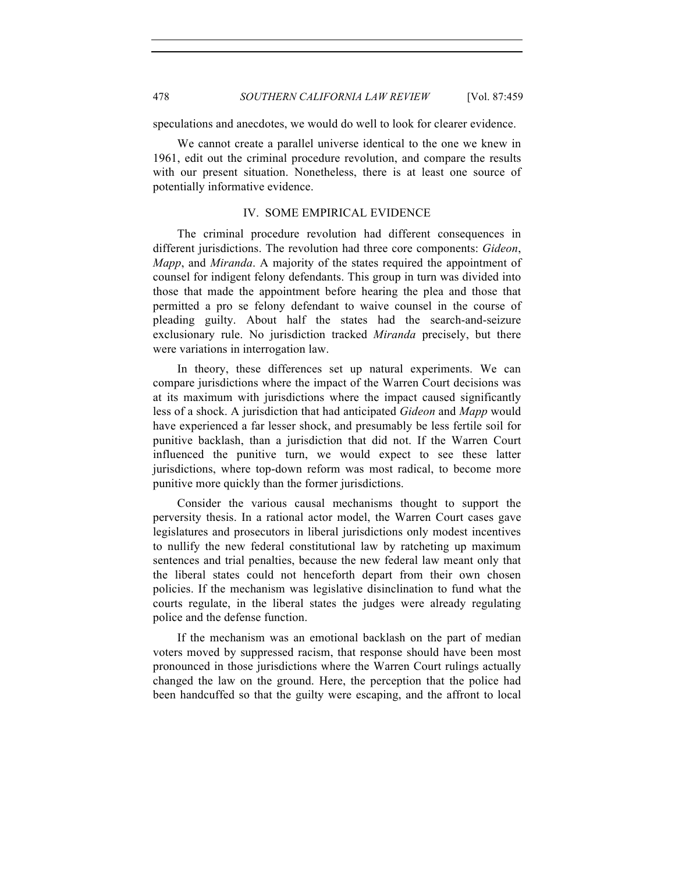speculations and anecdotes, we would do well to look for clearer evidence.

We cannot create a parallel universe identical to the one we knew in 1961, edit out the criminal procedure revolution, and compare the results with our present situation. Nonetheless, there is at least one source of potentially informative evidence.

## IV. SOME EMPIRICAL EVIDENCE

The criminal procedure revolution had different consequences in different jurisdictions. The revolution had three core components: *Gideon*, *Mapp*, and *Miranda*. A majority of the states required the appointment of counsel for indigent felony defendants. This group in turn was divided into those that made the appointment before hearing the plea and those that permitted a pro se felony defendant to waive counsel in the course of pleading guilty. About half the states had the search-and-seizure exclusionary rule. No jurisdiction tracked *Miranda* precisely, but there were variations in interrogation law.

In theory, these differences set up natural experiments. We can compare jurisdictions where the impact of the Warren Court decisions was at its maximum with jurisdictions where the impact caused significantly less of a shock. A jurisdiction that had anticipated *Gideon* and *Mapp* would have experienced a far lesser shock, and presumably be less fertile soil for punitive backlash, than a jurisdiction that did not. If the Warren Court influenced the punitive turn, we would expect to see these latter jurisdictions, where top-down reform was most radical, to become more punitive more quickly than the former jurisdictions.

Consider the various causal mechanisms thought to support the perversity thesis. In a rational actor model, the Warren Court cases gave legislatures and prosecutors in liberal jurisdictions only modest incentives to nullify the new federal constitutional law by ratcheting up maximum sentences and trial penalties, because the new federal law meant only that the liberal states could not henceforth depart from their own chosen policies. If the mechanism was legislative disinclination to fund what the courts regulate, in the liberal states the judges were already regulating police and the defense function.

If the mechanism was an emotional backlash on the part of median voters moved by suppressed racism, that response should have been most pronounced in those jurisdictions where the Warren Court rulings actually changed the law on the ground. Here, the perception that the police had been handcuffed so that the guilty were escaping, and the affront to local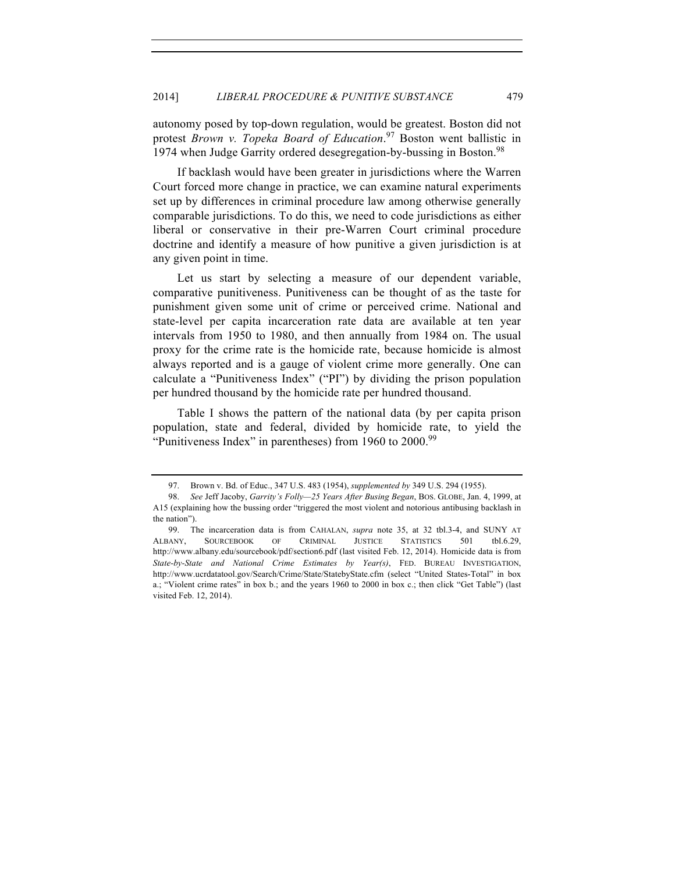autonomy posed by top-down regulation, would be greatest. Boston did not protest *Brown v. Topeka Board of Education*. <sup>97</sup> Boston went ballistic in 1974 when Judge Garrity ordered desegregation-by-bussing in Boston.<sup>98</sup>

If backlash would have been greater in jurisdictions where the Warren Court forced more change in practice, we can examine natural experiments set up by differences in criminal procedure law among otherwise generally comparable jurisdictions. To do this, we need to code jurisdictions as either liberal or conservative in their pre-Warren Court criminal procedure doctrine and identify a measure of how punitive a given jurisdiction is at any given point in time.

Let us start by selecting a measure of our dependent variable, comparative punitiveness. Punitiveness can be thought of as the taste for punishment given some unit of crime or perceived crime. National and state-level per capita incarceration rate data are available at ten year intervals from 1950 to 1980, and then annually from 1984 on. The usual proxy for the crime rate is the homicide rate, because homicide is almost always reported and is a gauge of violent crime more generally. One can calculate a "Punitiveness Index" ("PI") by dividing the prison population per hundred thousand by the homicide rate per hundred thousand.

Table I shows the pattern of the national data (by per capita prison population, state and federal, divided by homicide rate, to yield the "Punitiveness Index" in parentheses) from 1960 to 2000.<sup>99</sup>

<sup>97.</sup> Brown v. Bd. of Educ., 347 U.S. 483 (1954), *supplemented by* 349 U.S. 294 (1955).

<sup>98.</sup> *See* Jeff Jacoby, *Garrity's Folly—25 Years After Busing Began*, BOS. GLOBE, Jan. 4, 1999, at A15 (explaining how the bussing order "triggered the most violent and notorious antibusing backlash in the nation").

<sup>99.</sup> The incarceration data is from CAHALAN, *supra* note 35, at 32 tbl.3-4, and SUNY AT ALBANY, SOURCEBOOK OF CRIMINAL JUSTICE STATISTICS 501 tbl.6.29, http://www.albany.edu/sourcebook/pdf/section6.pdf (last visited Feb. 12, 2014). Homicide data is from *State-by-State and National Crime Estimates by Year(s)*, FED. BUREAU INVESTIGATION, http://www.ucrdatatool.gov/Search/Crime/State/StatebyState.cfm (select "United States-Total" in box a.; "Violent crime rates" in box b.; and the years 1960 to 2000 in box c.; then click "Get Table") (last visited Feb. 12, 2014).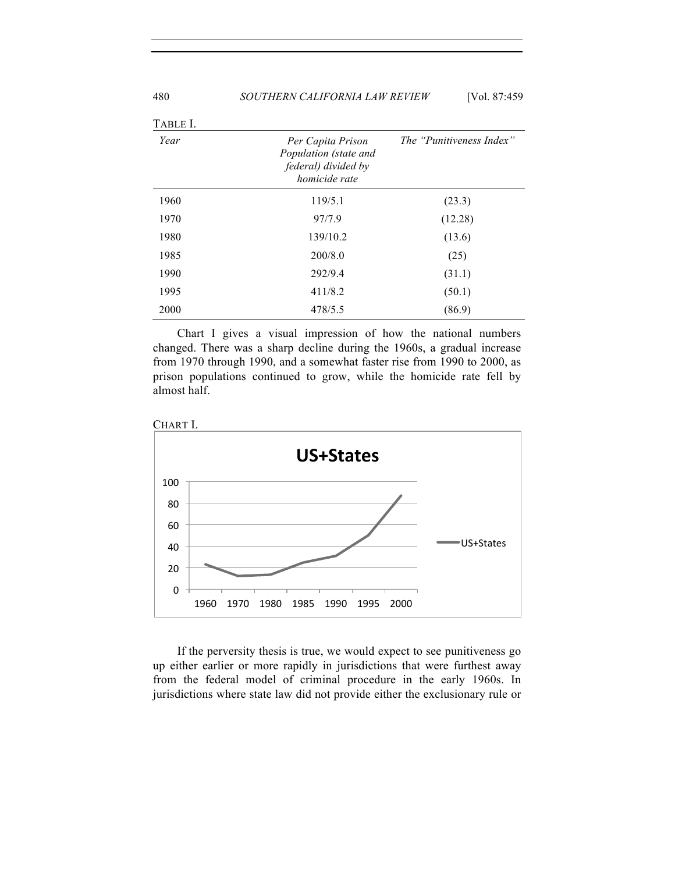| TABLE I. |                                                                                           |                          |
|----------|-------------------------------------------------------------------------------------------|--------------------------|
| Year     | Per Capita Prison<br>Population (state and<br>federal) divided by<br><i>homicide rate</i> | The "Punitiveness Index" |
| 1960     | 119/5.1                                                                                   | (23.3)                   |
| 1970     | 97/7.9                                                                                    | (12.28)                  |
| 1980     | 139/10.2                                                                                  | (13.6)                   |
| 1985     | 200/8.0                                                                                   | (25)                     |
| 1990     | 292/9.4                                                                                   | (31.1)                   |
| 1995     | 411/8.2                                                                                   | (50.1)                   |
| 2000     | 478/5.5                                                                                   | (86.9)                   |

Chart I gives a visual impression of how the national numbers changed. There was a sharp decline during the 1960s, a gradual increase from 1970 through 1990, and a somewhat faster rise from 1990 to 2000, as prison populations continued to grow, while the homicide rate fell by almost half.



If the perversity thesis is true, we would expect to see punitiveness go up either earlier or more rapidly in jurisdictions that were furthest away from the federal model of criminal procedure in the early 1960s. In jurisdictions where state law did not provide either the exclusionary rule or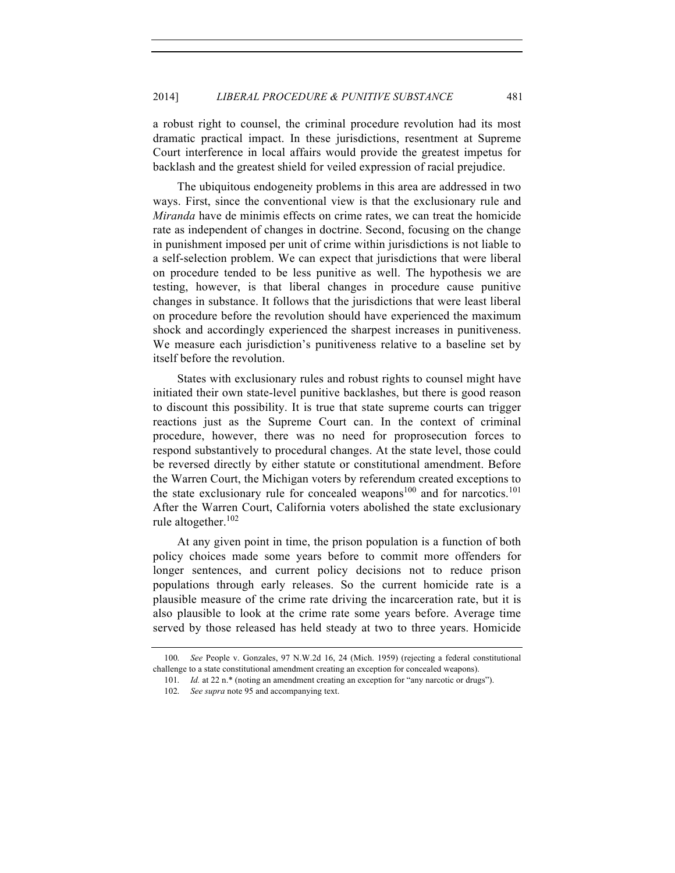a robust right to counsel, the criminal procedure revolution had its most dramatic practical impact. In these jurisdictions, resentment at Supreme Court interference in local affairs would provide the greatest impetus for backlash and the greatest shield for veiled expression of racial prejudice.

The ubiquitous endogeneity problems in this area are addressed in two ways. First, since the conventional view is that the exclusionary rule and *Miranda* have de minimis effects on crime rates, we can treat the homicide rate as independent of changes in doctrine. Second, focusing on the change in punishment imposed per unit of crime within jurisdictions is not liable to a self-selection problem. We can expect that jurisdictions that were liberal on procedure tended to be less punitive as well. The hypothesis we are testing, however, is that liberal changes in procedure cause punitive changes in substance. It follows that the jurisdictions that were least liberal on procedure before the revolution should have experienced the maximum shock and accordingly experienced the sharpest increases in punitiveness. We measure each jurisdiction's punitiveness relative to a baseline set by itself before the revolution.

States with exclusionary rules and robust rights to counsel might have initiated their own state-level punitive backlashes, but there is good reason to discount this possibility. It is true that state supreme courts can trigger reactions just as the Supreme Court can. In the context of criminal procedure, however, there was no need for proprosecution forces to respond substantively to procedural changes. At the state level, those could be reversed directly by either statute or constitutional amendment. Before the Warren Court, the Michigan voters by referendum created exceptions to the state exclusionary rule for concealed weapons<sup>100</sup> and for narcotics.<sup>101</sup> After the Warren Court, California voters abolished the state exclusionary rule altogether.<sup>102</sup>

At any given point in time, the prison population is a function of both policy choices made some years before to commit more offenders for longer sentences, and current policy decisions not to reduce prison populations through early releases. So the current homicide rate is a plausible measure of the crime rate driving the incarceration rate, but it is also plausible to look at the crime rate some years before. Average time served by those released has held steady at two to three years. Homicide

<sup>100.</sup> *See* People v. Gonzales, 97 N.W.2d 16, 24 (Mich. 1959) (rejecting a federal constitutional challenge to a state constitutional amendment creating an exception for concealed weapons).

<sup>101.</sup> *Id.* at 22 n.\* (noting an amendment creating an exception for "any narcotic or drugs").

<sup>102.</sup> *See supra* note 95 and accompanying text.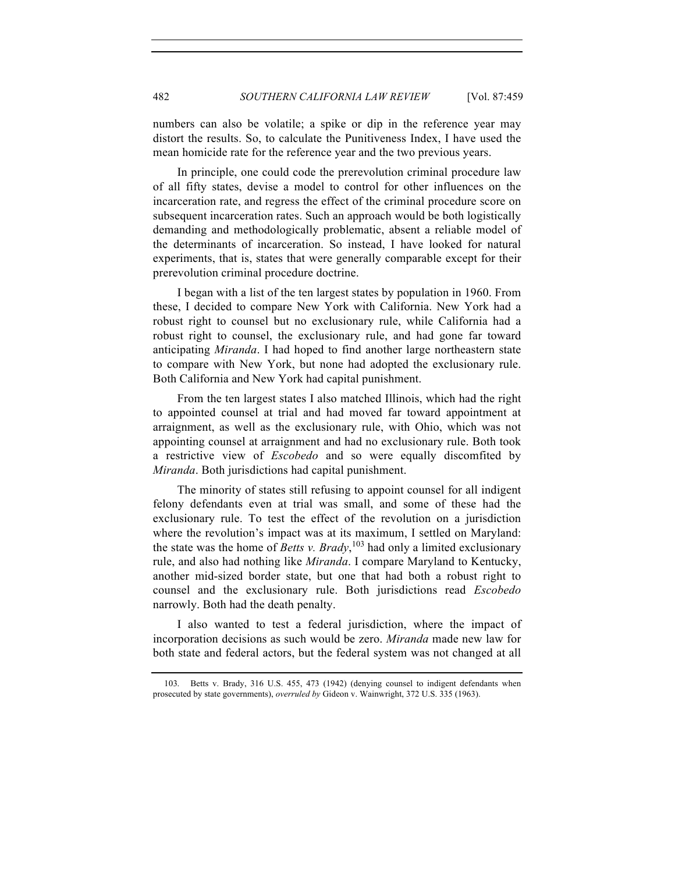numbers can also be volatile; a spike or dip in the reference year may distort the results. So, to calculate the Punitiveness Index, I have used the mean homicide rate for the reference year and the two previous years.

In principle, one could code the prerevolution criminal procedure law of all fifty states, devise a model to control for other influences on the incarceration rate, and regress the effect of the criminal procedure score on subsequent incarceration rates. Such an approach would be both logistically demanding and methodologically problematic, absent a reliable model of the determinants of incarceration. So instead, I have looked for natural experiments, that is, states that were generally comparable except for their prerevolution criminal procedure doctrine.

I began with a list of the ten largest states by population in 1960. From these, I decided to compare New York with California. New York had a robust right to counsel but no exclusionary rule, while California had a robust right to counsel, the exclusionary rule, and had gone far toward anticipating *Miranda*. I had hoped to find another large northeastern state to compare with New York, but none had adopted the exclusionary rule. Both California and New York had capital punishment.

From the ten largest states I also matched Illinois, which had the right to appointed counsel at trial and had moved far toward appointment at arraignment, as well as the exclusionary rule, with Ohio, which was not appointing counsel at arraignment and had no exclusionary rule. Both took a restrictive view of *Escobedo* and so were equally discomfited by *Miranda*. Both jurisdictions had capital punishment.

The minority of states still refusing to appoint counsel for all indigent felony defendants even at trial was small, and some of these had the exclusionary rule. To test the effect of the revolution on a jurisdiction where the revolution's impact was at its maximum, I settled on Maryland: the state was the home of *Betts v. Brady*, <sup>103</sup> had only a limited exclusionary rule, and also had nothing like *Miranda*. I compare Maryland to Kentucky, another mid-sized border state, but one that had both a robust right to counsel and the exclusionary rule. Both jurisdictions read *Escobedo*  narrowly. Both had the death penalty.

I also wanted to test a federal jurisdiction, where the impact of incorporation decisions as such would be zero. *Miranda* made new law for both state and federal actors, but the federal system was not changed at all

<sup>103.</sup> Betts v. Brady, 316 U.S. 455, 473 (1942) (denying counsel to indigent defendants when prosecuted by state governments), *overruled by* Gideon v. Wainwright, 372 U.S. 335 (1963).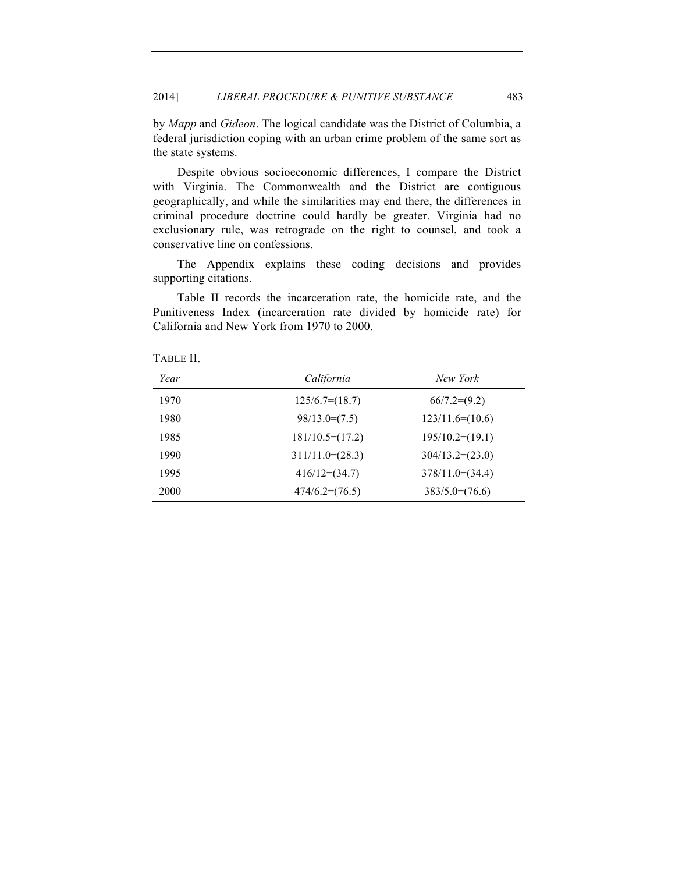by *Mapp* and *Gideon*. The logical candidate was the District of Columbia, a federal jurisdiction coping with an urban crime problem of the same sort as the state systems.

Despite obvious socioeconomic differences, I compare the District with Virginia. The Commonwealth and the District are contiguous geographically, and while the similarities may end there, the differences in criminal procedure doctrine could hardly be greater. Virginia had no exclusionary rule, was retrograde on the right to counsel, and took a conservative line on confessions.

The Appendix explains these coding decisions and provides supporting citations.

Table II records the incarceration rate, the homicide rate, and the Punitiveness Index (incarceration rate divided by homicide rate) for California and New York from 1970 to 2000.

| Year | California        | New York            |
|------|-------------------|---------------------|
| 1970 | $125/6.7=(18.7)$  | $66/7.2=(9.2)$      |
| 1980 | $98/13.0=(7.5)$   | $123/11.6=(10.6)$   |
| 1985 | $181/10.5=(17.2)$ | $195/10.2=(19.1)$   |
| 1990 | $311/11.0=(28.3)$ | $304/13.2=(23.0)$   |
| 1995 | $416/12=(34.7)$   | $378/11.0 = (34.4)$ |
| 2000 | $474/6.2=(76.5)$  | $383/5.0=(76.6)$    |

TABLE II.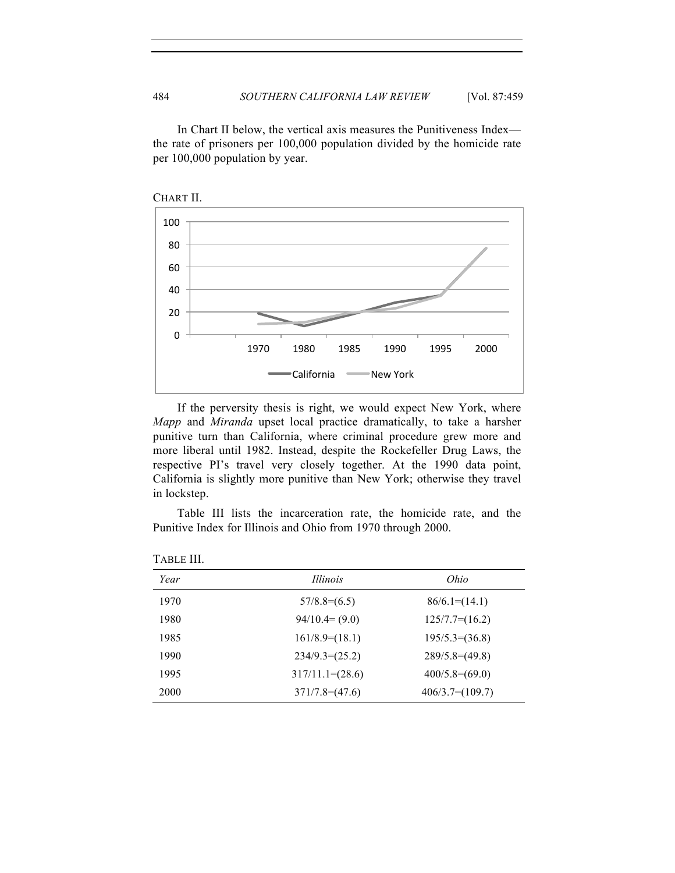In Chart II below, the vertical axis measures the Punitiveness Index the rate of prisoners per 100,000 population divided by the homicide rate per 100,000 population by year.



If the perversity thesis is right, we would expect New York, where *Mapp* and *Miranda* upset local practice dramatically, to take a harsher punitive turn than California, where criminal procedure grew more and more liberal until 1982. Instead, despite the Rockefeller Drug Laws, the respective PI's travel very closely together. At the 1990 data point, California is slightly more punitive than New York; otherwise they travel in lockstep.

Table III lists the incarceration rate, the homicide rate, and the Punitive Index for Illinois and Ohio from 1970 through 2000.

| Year | <i>Illinois</i>    | Ohio              |  |
|------|--------------------|-------------------|--|
| 1970 | $57/8.8=(6.5)$     | $86/6.1=(14.1)$   |  |
| 1980 | $94/10.4 = (9.0)$  | $125/7.7=(16.2)$  |  |
| 1985 | $161/8.9=(18.1)$   | $195/5.3=(36.8)$  |  |
| 1990 | $234/9.3=(25.2)$   | $289/5.8=(49.8)$  |  |
| 1995 | $317/11.1=(28.6)$  | $400/5.8=(69.0)$  |  |
| 2000 | $371/7.8 = (47.6)$ | $406/3.7=(109.7)$ |  |

TABLE III.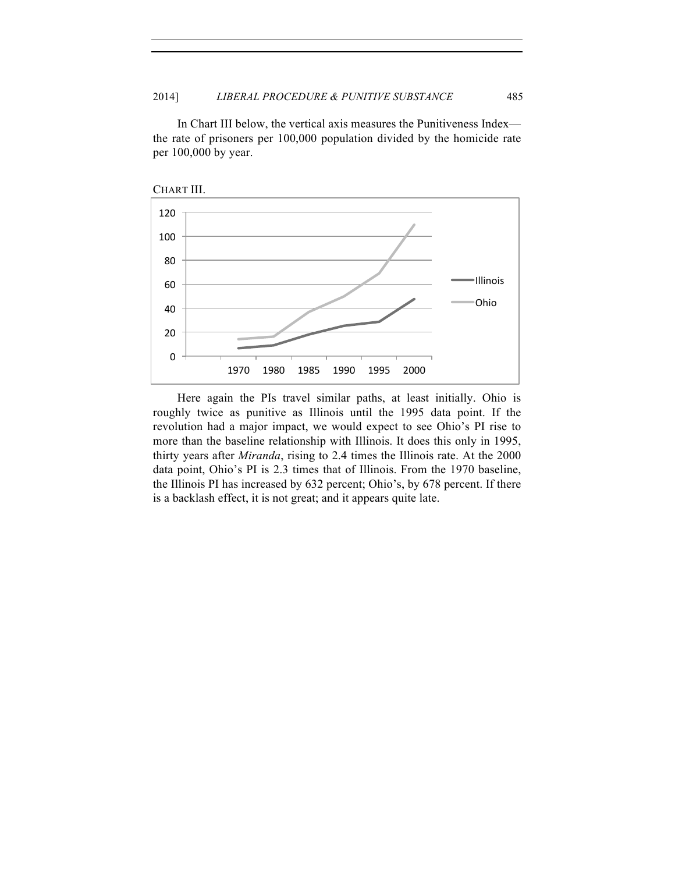In Chart III below, the vertical axis measures the Punitiveness Index the rate of prisoners per 100,000 population divided by the homicide rate per 100,000 by year.



Here again the PIs travel similar paths, at least initially. Ohio is roughly twice as punitive as Illinois until the 1995 data point. If the revolution had a major impact, we would expect to see Ohio's PI rise to more than the baseline relationship with Illinois. It does this only in 1995, thirty years after *Miranda*, rising to 2.4 times the Illinois rate. At the 2000 data point, Ohio's PI is 2.3 times that of Illinois. From the 1970 baseline, the Illinois PI has increased by 632 percent; Ohio's, by 678 percent. If there is a backlash effect, it is not great; and it appears quite late.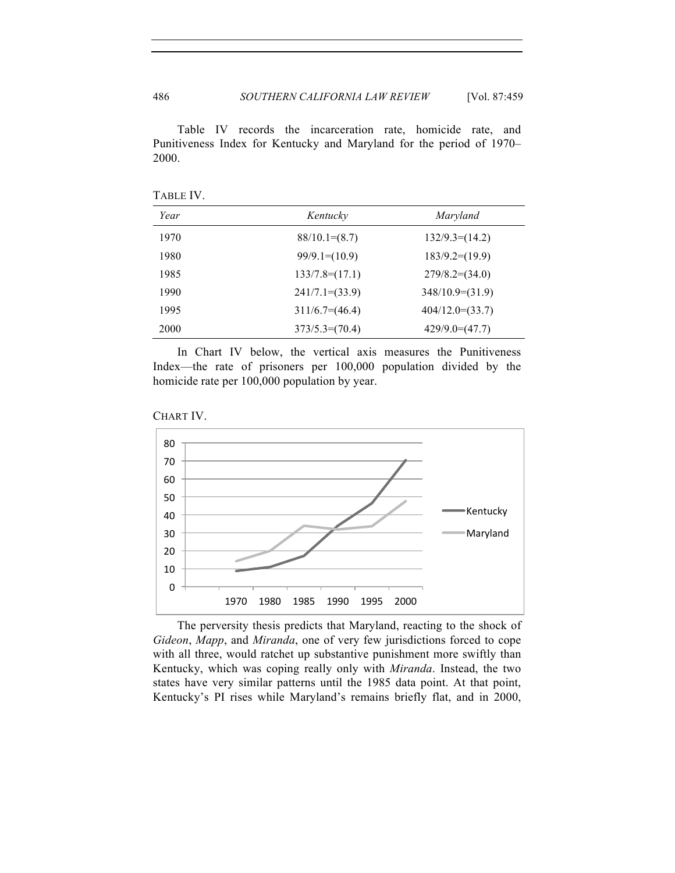Table IV records the incarceration rate, homicide rate, and Punitiveness Index for Kentucky and Maryland for the period of 1970– 2000.

| Year | Kentucky         | Maryland          |
|------|------------------|-------------------|
| 1970 | $88/10.1=(8.7)$  | $132/9.3=(14.2)$  |
| 1980 | $99/9.1=(10.9)$  | $183/9.2=(19.9)$  |
| 1985 | $133/7.8=(17.1)$ | $279/8.2=(34.0)$  |
| 1990 | $241/7.1=(33.9)$ | $348/10.9=(31.9)$ |
| 1995 | $311/6.7=(46.4)$ | $404/12.0=(33.7)$ |
| 2000 | $373/5.3=(70.4)$ | $429/9.0=(47.7)$  |

TABLE IV.

In Chart IV below, the vertical axis measures the Punitiveness Index—the rate of prisoners per 100,000 population divided by the homicide rate per 100,000 population by year.





The perversity thesis predicts that Maryland, reacting to the shock of *Gideon*, *Mapp*, and *Miranda*, one of very few jurisdictions forced to cope with all three, would ratchet up substantive punishment more swiftly than Kentucky, which was coping really only with *Miranda*. Instead, the two states have very similar patterns until the 1985 data point. At that point, Kentucky's PI rises while Maryland's remains briefly flat, and in 2000,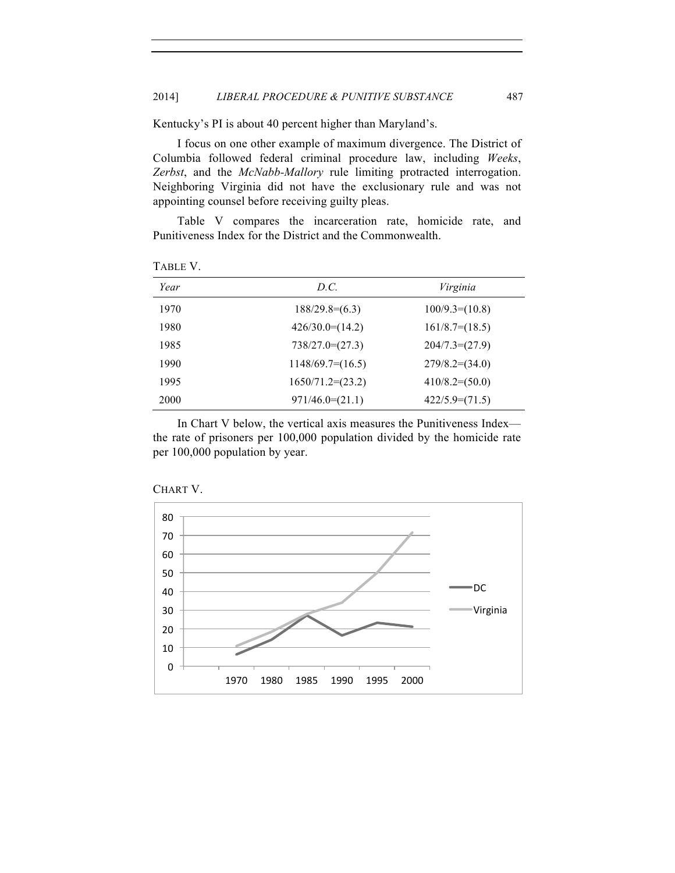Kentucky's PI is about 40 percent higher than Maryland's.

I focus on one other example of maximum divergence. The District of Columbia followed federal criminal procedure law, including *Weeks*, *Zerbst*, and the *McNabb-Mallory* rule limiting protracted interrogation. Neighboring Virginia did not have the exclusionary rule and was not appointing counsel before receiving guilty pleas.

Table V compares the incarceration rate, homicide rate, and Punitiveness Index for the District and the Commonwealth.

| Year | D.C.               | Virginia         |
|------|--------------------|------------------|
| 1970 | $188/29.8=(6.3)$   | $100/9.3=(10.8)$ |
| 1980 | $426/30.0=(14.2)$  | $161/8.7=(18.5)$ |
| 1985 | $738/27.0=(27.3)$  | $204/7.3=(27.9)$ |
| 1990 | $1148/69.7=(16.5)$ | $279/8.2=(34.0)$ |
| 1995 | $1650/71.2=(23.2)$ | $410/8.2=(50.0)$ |
| 2000 | $971/46.0=(21.1)$  | $422/5.9=(71.5)$ |

TABLE V.

In Chart V below, the vertical axis measures the Punitiveness Index the rate of prisoners per 100,000 population divided by the homicide rate per 100,000 population by year.



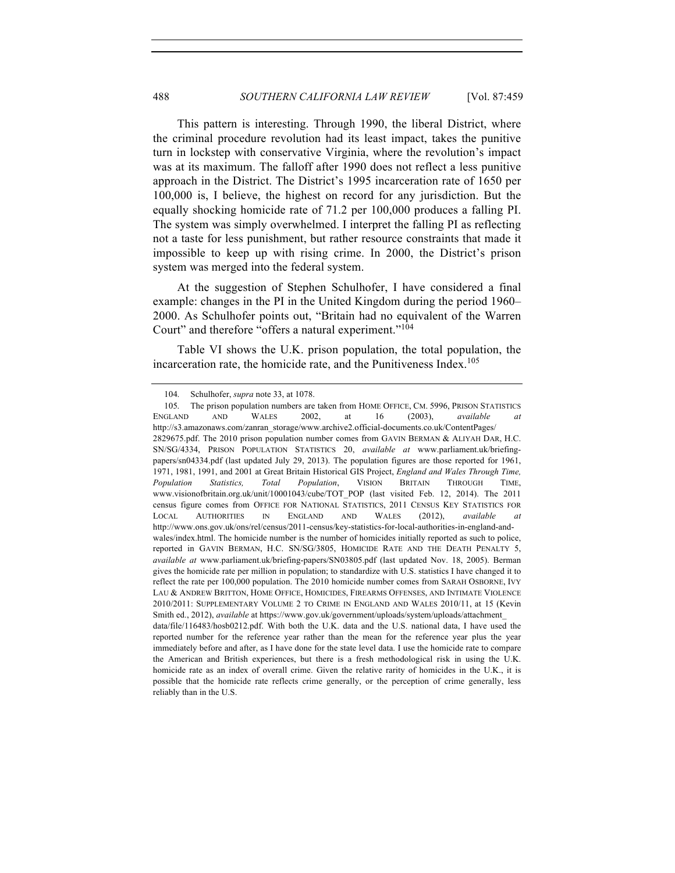This pattern is interesting. Through 1990, the liberal District, where the criminal procedure revolution had its least impact, takes the punitive turn in lockstep with conservative Virginia, where the revolution's impact was at its maximum. The falloff after 1990 does not reflect a less punitive approach in the District. The District's 1995 incarceration rate of 1650 per 100,000 is, I believe, the highest on record for any jurisdiction. But the equally shocking homicide rate of 71.2 per 100,000 produces a falling PI. The system was simply overwhelmed. I interpret the falling PI as reflecting not a taste for less punishment, but rather resource constraints that made it impossible to keep up with rising crime. In 2000, the District's prison system was merged into the federal system.

At the suggestion of Stephen Schulhofer, I have considered a final example: changes in the PI in the United Kingdom during the period 1960– 2000. As Schulhofer points out, "Britain had no equivalent of the Warren Court" and therefore "offers a natural experiment."<sup>104</sup>

Table VI shows the U.K. prison population, the total population, the incarceration rate, the homicide rate, and the Punitiveness Index.<sup>105</sup>

<sup>104.</sup> Schulhofer, *supra* note 33, at 1078.

<sup>105.</sup> The prison population numbers are taken from HOME OFFICE, CM. 5996, PRISON STATISTICS ENGLAND AND WALES 2002, at 16 (2003), *available at*  http://s3.amazonaws.com/zanran\_storage/www.archive2.official-documents.co.uk/ContentPages/ 2829675.pdf. The 2010 prison population number comes from GAVIN BERMAN & ALIYAH DAR, H.C. SN/SG/4334, PRISON POPULATION STATISTICS 20, *available at* www.parliament.uk/briefingpapers/sn04334.pdf (last updated July 29, 2013). The population figures are those reported for 1961, 1971, 1981, 1991, and 2001 at Great Britain Historical GIS Project, *England and Wales Through Time, Population Statistics, Total Population*, VISION BRITAIN THROUGH TIME, www.visionofbritain.org.uk/unit/10001043/cube/TOT\_POP (last visited Feb. 12, 2014). The 2011 census figure comes from OFFICE FOR NATIONAL STATISTICS, 2011 CENSUS KEY STATISTICS FOR LOCAL AUTHORITIES IN ENGLAND AND WALES (2012), *available at* http://www.ons.gov.uk/ons/rel/census/2011-census/key-statistics-for-local-authorities-in-england-andwales/index.html. The homicide number is the number of homicides initially reported as such to police, reported in GAVIN BERMAN, H.C. SN/SG/3805, HOMICIDE RATE AND THE DEATH PENALTY 5, *available at* www.parliament.uk/briefing-papers/SN03805.pdf (last updated Nov. 18, 2005). Berman gives the homicide rate per million in population; to standardize with U.S. statistics I have changed it to reflect the rate per 100,000 population. The 2010 homicide number comes from SARAH OSBORNE, IVY LAU & ANDREW BRITTON, HOME OFFICE, HOMICIDES, FIREARMS OFFENSES, AND INTIMATE VIOLENCE 2010/2011: SUPPLEMENTARY VOLUME 2 TO CRIME IN ENGLAND AND WALES 2010/11, at 15 (Kevin Smith ed., 2012), *available* at https://www.gov.uk/government/uploads/system/uploads/attachment\_ data/file/116483/hosb0212.pdf. With both the U.K. data and the U.S. national data, I have used the reported number for the reference year rather than the mean for the reference year plus the year immediately before and after, as I have done for the state level data. I use the homicide rate to compare the American and British experiences, but there is a fresh methodological risk in using the U.K.

homicide rate as an index of overall crime. Given the relative rarity of homicides in the U.K., it is possible that the homicide rate reflects crime generally, or the perception of crime generally, less reliably than in the U.S.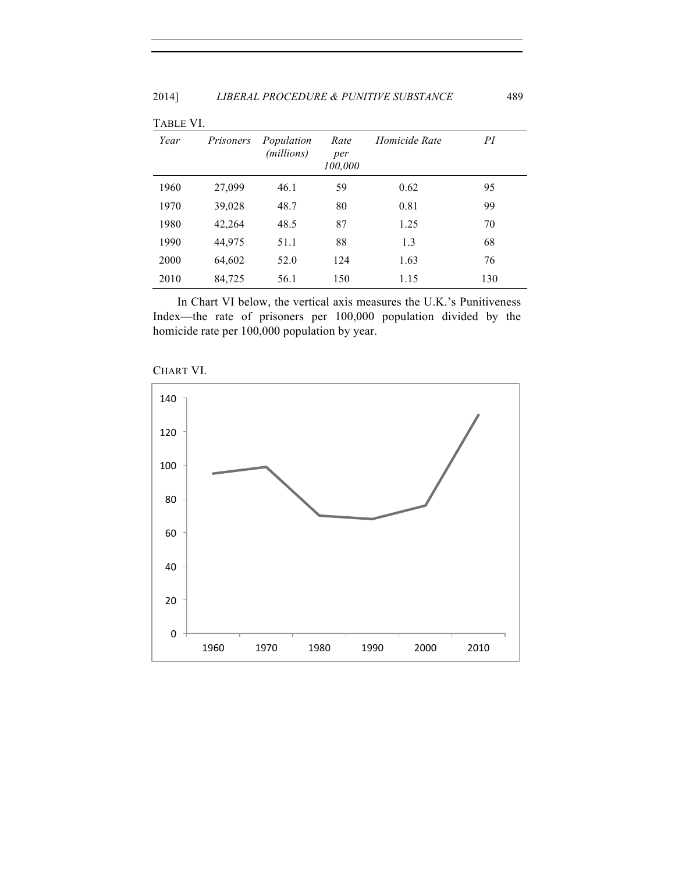| TABLE VI. |           |                          |                        |               |     |
|-----------|-----------|--------------------------|------------------------|---------------|-----|
| Year      | Prisoners | Population<br>(millions) | Rate<br>per<br>100,000 | Homicide Rate | PI  |
| 1960      | 27,099    | 46.1                     | 59                     | 0.62          | 95  |
| 1970      | 39,028    | 48.7                     | 80                     | 0.81          | 99  |
| 1980      | 42,264    | 48.5                     | 87                     | 1.25          | 70  |
| 1990      | 44,975    | 51.1                     | 88                     | 1.3           | 68  |
| 2000      | 64,602    | 52.0                     | 124                    | 1.63          | 76  |
| 2010      | 84,725    | 56.1                     | 150                    | 1.15          | 130 |

In Chart VI below, the vertical axis measures the U.K.'s Punitiveness Index—the rate of prisoners per 100,000 population divided by the homicide rate per 100,000 population by year.



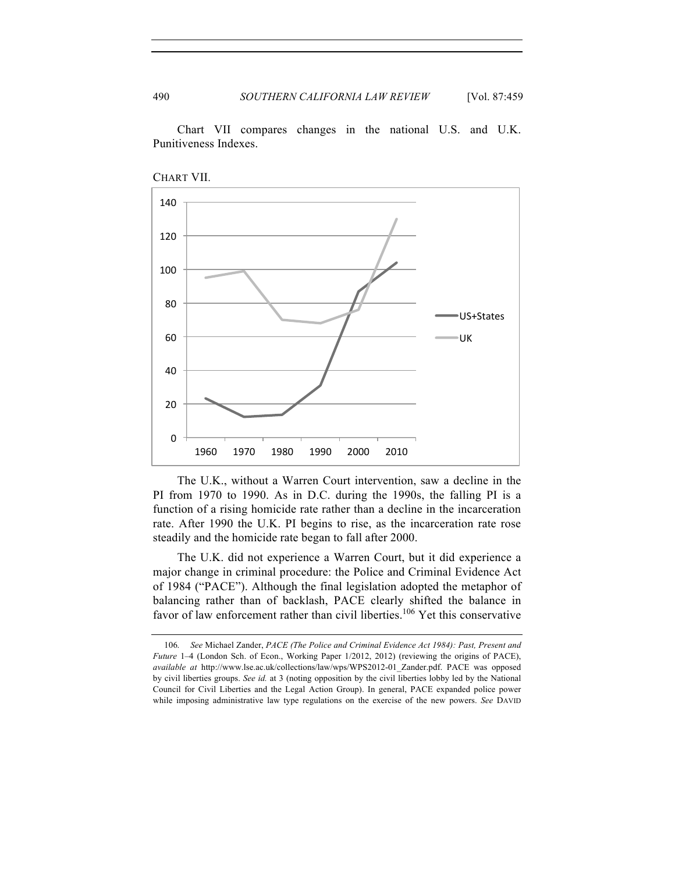Chart VII compares changes in the national U.S. and U.K. Punitiveness Indexes.





The U.K., without a Warren Court intervention, saw a decline in the PI from 1970 to 1990. As in D.C. during the 1990s, the falling PI is a function of a rising homicide rate rather than a decline in the incarceration rate. After 1990 the U.K. PI begins to rise, as the incarceration rate rose steadily and the homicide rate began to fall after 2000.

The U.K. did not experience a Warren Court, but it did experience a major change in criminal procedure: the Police and Criminal Evidence Act of 1984 ("PACE"). Although the final legislation adopted the metaphor of balancing rather than of backlash, PACE clearly shifted the balance in favor of law enforcement rather than civil liberties.<sup>106</sup> Yet this conservative

<sup>106.</sup> *See* Michael Zander, *PACE (The Police and Criminal Evidence Act 1984): Past, Present and Future* 1–4 (London Sch. of Econ., Working Paper 1/2012, 2012) (reviewing the origins of PACE), *available at* http://www.lse.ac.uk/collections/law/wps/WPS2012-01\_Zander.pdf. PACE was opposed by civil liberties groups. *See id.* at 3 (noting opposition by the civil liberties lobby led by the National Council for Civil Liberties and the Legal Action Group). In general, PACE expanded police power while imposing administrative law type regulations on the exercise of the new powers. *See* DAVID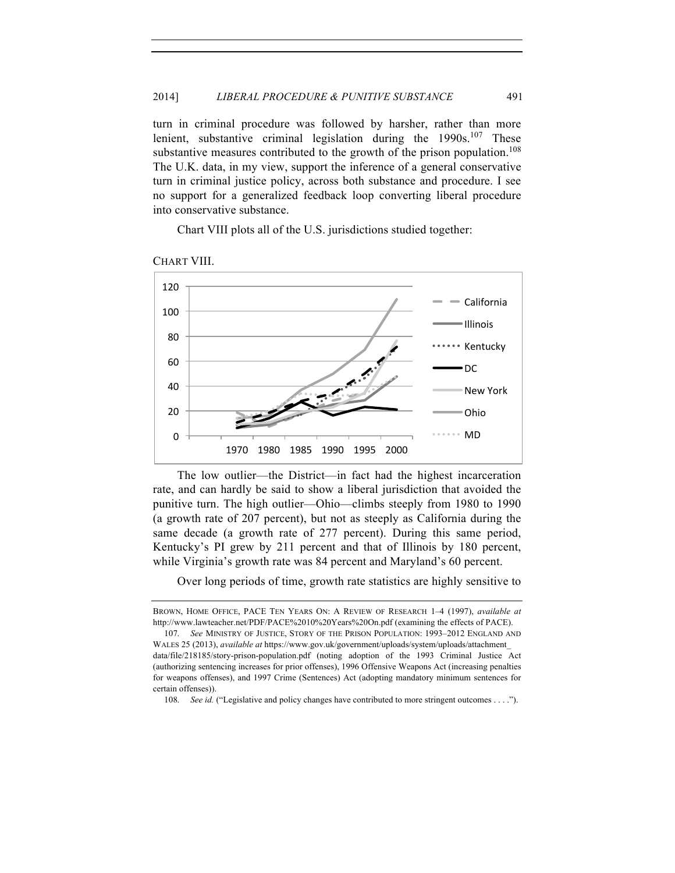turn in criminal procedure was followed by harsher, rather than more lenient, substantive criminal legislation during the  $1990s$ .<sup>107</sup> These substantive measures contributed to the growth of the prison population.<sup>108</sup> The U.K. data, in my view, support the inference of a general conservative turn in criminal justice policy, across both substance and procedure. I see no support for a generalized feedback loop converting liberal procedure into conservative substance.

Chart VIII plots all of the U.S. jurisdictions studied together:



CHART VIII.

The low outlier—the District—in fact had the highest incarceration rate, and can hardly be said to show a liberal jurisdiction that avoided the punitive turn. The high outlier—Ohio—climbs steeply from 1980 to 1990 (a growth rate of 207 percent), but not as steeply as California during the same decade (a growth rate of 277 percent). During this same period, Kentucky's PI grew by 211 percent and that of Illinois by 180 percent, while Virginia's growth rate was 84 percent and Maryland's 60 percent.

Over long periods of time, growth rate statistics are highly sensitive to

BROWN, HOME OFFICE, PACE TEN YEARS ON: A REVIEW OF RESEARCH 1–4 (1997), *available at* http://www.lawteacher.net/PDF/PACE%2010%20Years%20On.pdf (examining the effects of PACE). 107. *See* MINISTRY OF JUSTICE, STORY OF THE PRISON POPULATION: 1993–2012 ENGLAND AND

WALES 25 (2013), *available at* https://www.gov.uk/government/uploads/system/uploads/attachment\_ data/file/218185/story-prison-population.pdf (noting adoption of the 1993 Criminal Justice Act (authorizing sentencing increases for prior offenses), 1996 Offensive Weapons Act (increasing penalties for weapons offenses), and 1997 Crime (Sentences) Act (adopting mandatory minimum sentences for certain offenses)).

<sup>108.</sup> *See id.* ("Legislative and policy changes have contributed to more stringent outcomes . . . .").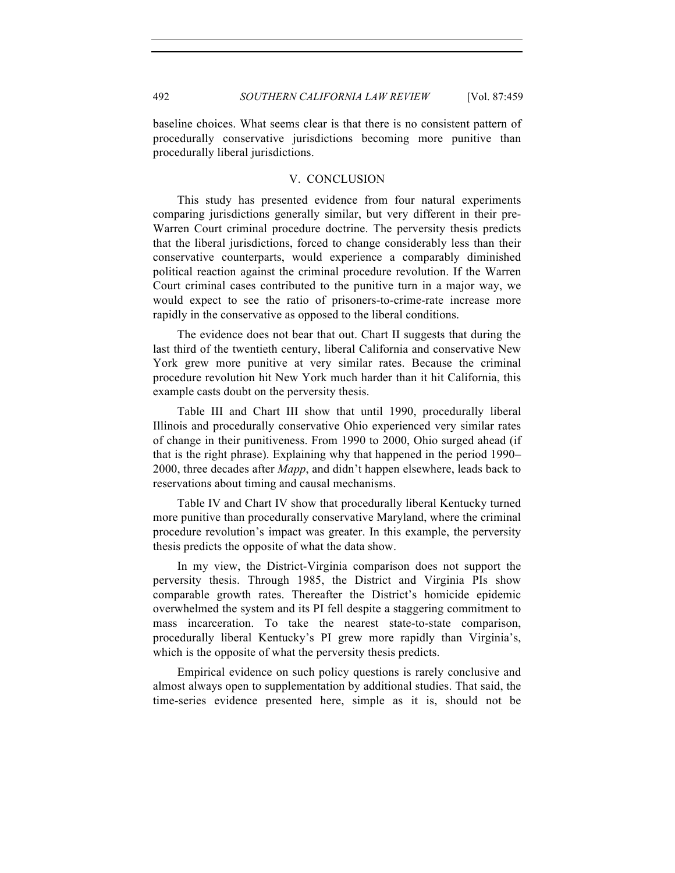baseline choices. What seems clear is that there is no consistent pattern of procedurally conservative jurisdictions becoming more punitive than procedurally liberal jurisdictions.

## V. CONCLUSION

This study has presented evidence from four natural experiments comparing jurisdictions generally similar, but very different in their pre-Warren Court criminal procedure doctrine. The perversity thesis predicts that the liberal jurisdictions, forced to change considerably less than their conservative counterparts, would experience a comparably diminished political reaction against the criminal procedure revolution. If the Warren Court criminal cases contributed to the punitive turn in a major way, we would expect to see the ratio of prisoners-to-crime-rate increase more rapidly in the conservative as opposed to the liberal conditions.

The evidence does not bear that out. Chart II suggests that during the last third of the twentieth century, liberal California and conservative New York grew more punitive at very similar rates. Because the criminal procedure revolution hit New York much harder than it hit California, this example casts doubt on the perversity thesis.

Table III and Chart III show that until 1990, procedurally liberal Illinois and procedurally conservative Ohio experienced very similar rates of change in their punitiveness. From 1990 to 2000, Ohio surged ahead (if that is the right phrase). Explaining why that happened in the period 1990– 2000, three decades after *Mapp*, and didn't happen elsewhere, leads back to reservations about timing and causal mechanisms.

Table IV and Chart IV show that procedurally liberal Kentucky turned more punitive than procedurally conservative Maryland, where the criminal procedure revolution's impact was greater. In this example, the perversity thesis predicts the opposite of what the data show.

In my view, the District-Virginia comparison does not support the perversity thesis. Through 1985, the District and Virginia PIs show comparable growth rates. Thereafter the District's homicide epidemic overwhelmed the system and its PI fell despite a staggering commitment to mass incarceration. To take the nearest state-to-state comparison, procedurally liberal Kentucky's PI grew more rapidly than Virginia's, which is the opposite of what the perversity thesis predicts.

Empirical evidence on such policy questions is rarely conclusive and almost always open to supplementation by additional studies. That said, the time-series evidence presented here, simple as it is, should not be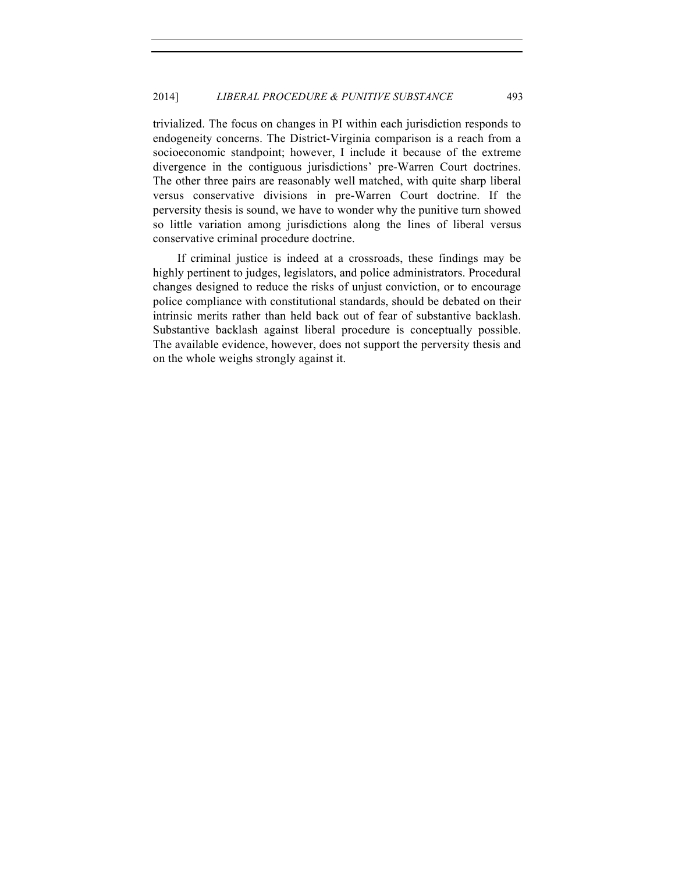trivialized. The focus on changes in PI within each jurisdiction responds to endogeneity concerns. The District-Virginia comparison is a reach from a socioeconomic standpoint; however, I include it because of the extreme divergence in the contiguous jurisdictions' pre-Warren Court doctrines. The other three pairs are reasonably well matched, with quite sharp liberal versus conservative divisions in pre-Warren Court doctrine. If the perversity thesis is sound, we have to wonder why the punitive turn showed so little variation among jurisdictions along the lines of liberal versus conservative criminal procedure doctrine.

If criminal justice is indeed at a crossroads, these findings may be highly pertinent to judges, legislators, and police administrators. Procedural changes designed to reduce the risks of unjust conviction, or to encourage police compliance with constitutional standards, should be debated on their intrinsic merits rather than held back out of fear of substantive backlash. Substantive backlash against liberal procedure is conceptually possible. The available evidence, however, does not support the perversity thesis and on the whole weighs strongly against it.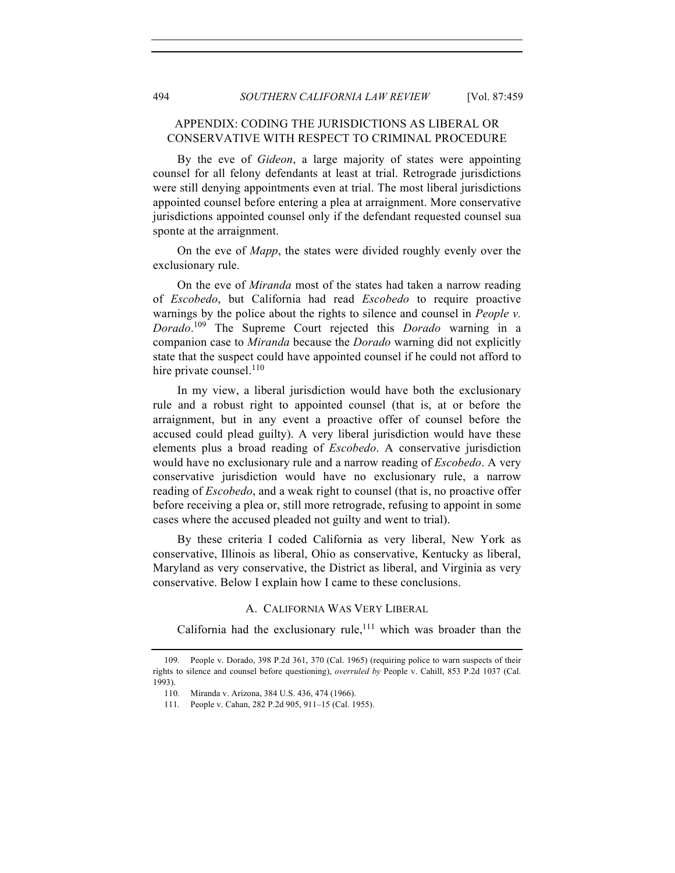# APPENDIX: CODING THE JURISDICTIONS AS LIBERAL OR CONSERVATIVE WITH RESPECT TO CRIMINAL PROCEDURE

By the eve of *Gideon*, a large majority of states were appointing counsel for all felony defendants at least at trial. Retrograde jurisdictions were still denying appointments even at trial. The most liberal jurisdictions appointed counsel before entering a plea at arraignment. More conservative jurisdictions appointed counsel only if the defendant requested counsel sua sponte at the arraignment.

On the eve of *Mapp*, the states were divided roughly evenly over the exclusionary rule.

On the eve of *Miranda* most of the states had taken a narrow reading of *Escobedo*, but California had read *Escobedo* to require proactive warnings by the police about the rights to silence and counsel in *People v. Dorado*. <sup>109</sup> The Supreme Court rejected this *Dorado* warning in a companion case to *Miranda* because the *Dorado* warning did not explicitly state that the suspect could have appointed counsel if he could not afford to hire private counsel. $110$ 

In my view, a liberal jurisdiction would have both the exclusionary rule and a robust right to appointed counsel (that is, at or before the arraignment, but in any event a proactive offer of counsel before the accused could plead guilty). A very liberal jurisdiction would have these elements plus a broad reading of *Escobedo*. A conservative jurisdiction would have no exclusionary rule and a narrow reading of *Escobedo*. A very conservative jurisdiction would have no exclusionary rule, a narrow reading of *Escobedo*, and a weak right to counsel (that is, no proactive offer before receiving a plea or, still more retrograde, refusing to appoint in some cases where the accused pleaded not guilty and went to trial).

By these criteria I coded California as very liberal, New York as conservative, Illinois as liberal, Ohio as conservative, Kentucky as liberal, Maryland as very conservative, the District as liberal, and Virginia as very conservative. Below I explain how I came to these conclusions.

## A. CALIFORNIA WAS VERY LIBERAL

California had the exclusionary rule,  $\frac{1}{11}$  which was broader than the

<sup>109.</sup> People v. Dorado, 398 P.2d 361, 370 (Cal. 1965) (requiring police to warn suspects of their rights to silence and counsel before questioning), *overruled by* People v. Cahill, 853 P.2d 1037 (Cal. 1993).

<sup>110.</sup> Miranda v. Arizona, 384 U.S. 436, 474 (1966).

<sup>111.</sup> People v. Cahan, 282 P.2d 905, 911–15 (Cal. 1955).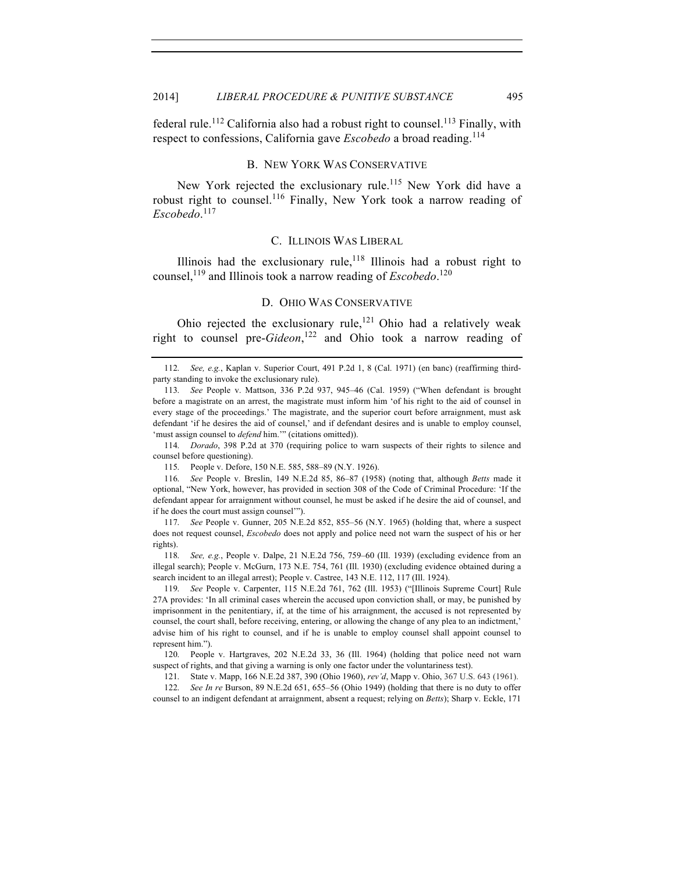federal rule.<sup>112</sup> California also had a robust right to counsel.<sup>113</sup> Finally, with respect to confessions, California gave *Escobedo* a broad reading.<sup>114</sup>

#### B. NEW YORK WAS CONSERVATIVE

New York rejected the exclusionary rule.<sup>115</sup> New York did have a robust right to counsel.<sup>116</sup> Finally, New York took a narrow reading of *Escobedo*. 117

#### C. ILLINOIS WAS LIBERAL

Illinois had the exclusionary rule,  $118$  Illinois had a robust right to counsel, <sup>119</sup> and Illinois took a narrow reading of *Escobedo*. 120

## D. OHIO WAS CONSERVATIVE

Ohio rejected the exclusionary rule,  $^{121}$  Ohio had a relatively weak right to counsel pre-*Gideon*, <sup>122</sup> and Ohio took a narrow reading of

114. *Dorado*, 398 P.2d at 370 (requiring police to warn suspects of their rights to silence and counsel before questioning).

115. People v. Defore, 150 N.E. 585, 588–89 (N.Y. 1926).

116. *See* People v. Breslin, 149 N.E.2d 85, 86–87 (1958) (noting that, although *Betts* made it optional, "New York, however, has provided in section 308 of the Code of Criminal Procedure: 'If the defendant appear for arraignment without counsel, he must be asked if he desire the aid of counsel, and if he does the court must assign counsel'").

117. *See* People v. Gunner, 205 N.E.2d 852, 855–56 (N.Y. 1965) (holding that, where a suspect does not request counsel, *Escobedo* does not apply and police need not warn the suspect of his or her rights).

118. *See, e.g.*, People v. Dalpe, 21 N.E.2d 756, 759–60 (Ill. 1939) (excluding evidence from an illegal search); People v. McGurn, 173 N.E. 754, 761 (Ill. 1930) (excluding evidence obtained during a search incident to an illegal arrest); People v. Castree, 143 N.E. 112, 117 (Ill. 1924).

119. *See* People v. Carpenter, 115 N.E.2d 761, 762 (Ill. 1953) ("[Illinois Supreme Court] Rule 27A provides: 'In all criminal cases wherein the accused upon conviction shall, or may, be punished by imprisonment in the penitentiary, if, at the time of his arraignment, the accused is not represented by counsel, the court shall, before receiving, entering, or allowing the change of any plea to an indictment,' advise him of his right to counsel, and if he is unable to employ counsel shall appoint counsel to represent him.").

120. People v. Hartgraves, 202 N.E.2d 33, 36 (Ill. 1964) (holding that police need not warn suspect of rights, and that giving a warning is only one factor under the voluntariness test).

121. State v. Mapp, 166 N.E.2d 387, 390 (Ohio 1960), *rev'd*, Mapp v. Ohio, 367 U.S. 643 (1961).

122. *See In re* Burson, 89 N.E.2d 651, 655–56 (Ohio 1949) (holding that there is no duty to offer counsel to an indigent defendant at arraignment, absent a request; relying on *Betts*); Sharp v. Eckle, 171

<sup>112.</sup> *See, e.g.*, Kaplan v. Superior Court, 491 P.2d 1, 8 (Cal. 1971) (en banc) (reaffirming thirdparty standing to invoke the exclusionary rule).

<sup>113.</sup> *See* People v. Mattson, 336 P.2d 937, 945–46 (Cal. 1959) ("When defendant is brought before a magistrate on an arrest, the magistrate must inform him 'of his right to the aid of counsel in every stage of the proceedings.' The magistrate, and the superior court before arraignment, must ask defendant 'if he desires the aid of counsel,' and if defendant desires and is unable to employ counsel, 'must assign counsel to *defend* him.'" (citations omitted)).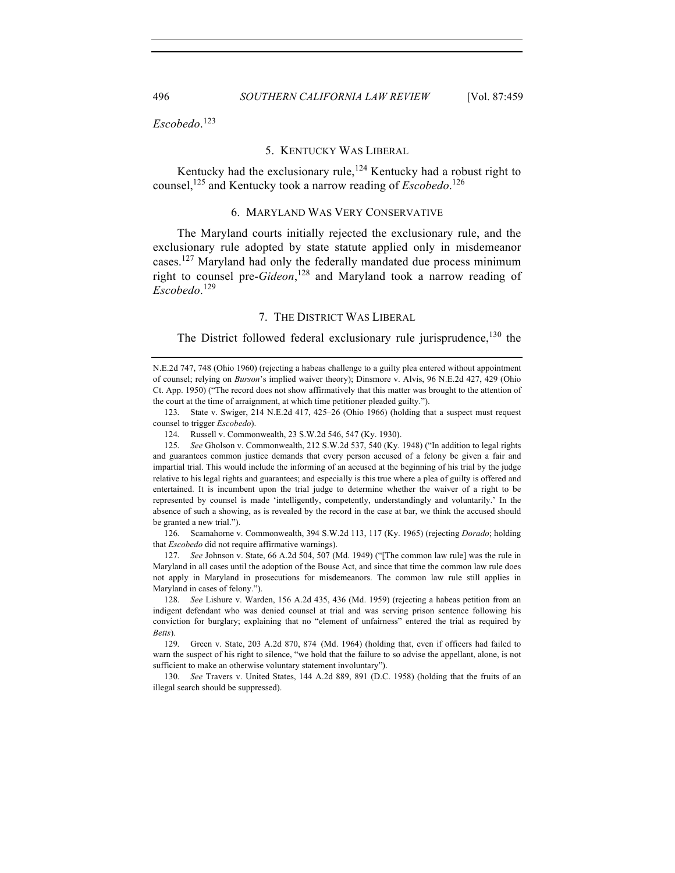*Escobedo*. 123

### 5. KENTUCKY WAS LIBERAL

Kentucky had the exclusionary rule,  $124$  Kentucky had a robust right to counsel, <sup>125</sup> and Kentucky took a narrow reading of *Escobedo*. 126

## 6. MARYLAND WAS VERY CONSERVATIVE

The Maryland courts initially rejected the exclusionary rule, and the exclusionary rule adopted by state statute applied only in misdemeanor cases.<sup>127</sup> Maryland had only the federally mandated due process minimum right to counsel pre-*Gideon*, <sup>128</sup> and Maryland took a narrow reading of *Escobedo*. 129

#### 7. THE DISTRICT WAS LIBERAL

The District followed federal exclusionary rule jurisprudence,<sup>130</sup> the

123. State v. Swiger, 214 N.E.2d 417, 425–26 (Ohio 1966) (holding that a suspect must request counsel to trigger *Escobedo*).

124. Russell v. Commonwealth, 23 S.W.2d 546, 547 (Ky. 1930).

125. *See* Gholson v. Commonwealth, 212 S.W.2d 537, 540 (Ky. 1948) ("In addition to legal rights and guarantees common justice demands that every person accused of a felony be given a fair and impartial trial. This would include the informing of an accused at the beginning of his trial by the judge relative to his legal rights and guarantees; and especially is this true where a plea of guilty is offered and entertained. It is incumbent upon the trial judge to determine whether the waiver of a right to be represented by counsel is made 'intelligently, competently, understandingly and voluntarily.' In the absence of such a showing, as is revealed by the record in the case at bar, we think the accused should be granted a new trial.").

126. Scamahorne v. Commonwealth, 394 S.W.2d 113, 117 (Ky. 1965) (rejecting *Dorado*; holding that *Escobedo* did not require affirmative warnings).

127. *See* Johnson v. State, 66 A.2d 504, 507 (Md. 1949) ("[The common law rule] was the rule in Maryland in all cases until the adoption of the Bouse Act, and since that time the common law rule does not apply in Maryland in prosecutions for misdemeanors. The common law rule still applies in Maryland in cases of felony.").

128. *See* Lishure v. Warden, 156 A.2d 435, 436 (Md. 1959) (rejecting a habeas petition from an indigent defendant who was denied counsel at trial and was serving prison sentence following his conviction for burglary; explaining that no "element of unfairness" entered the trial as required by *Betts*).

129. Green v. State, 203 A.2d 870, 874 (Md. 1964) (holding that, even if officers had failed to warn the suspect of his right to silence, "we hold that the failure to so advise the appellant, alone, is not sufficient to make an otherwise voluntary statement involuntary").

130. *See* Travers v. United States, 144 A.2d 889, 891 (D.C. 1958) (holding that the fruits of an illegal search should be suppressed).

N.E.2d 747, 748 (Ohio 1960) (rejecting a habeas challenge to a guilty plea entered without appointment of counsel; relying on *Burson*'s implied waiver theory); Dinsmore v. Alvis, 96 N.E.2d 427, 429 (Ohio Ct. App. 1950) ("The record does not show affirmatively that this matter was brought to the attention of the court at the time of arraignment, at which time petitioner pleaded guilty.").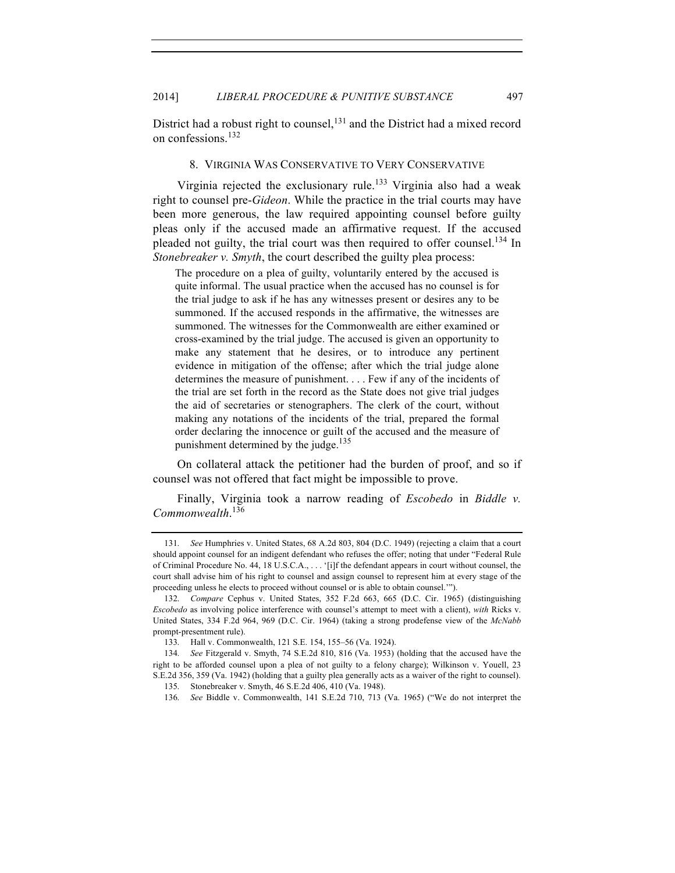District had a robust right to counsel,<sup>131</sup> and the District had a mixed record on confessions<sup>132</sup>

#### 8. VIRGINIA WAS CONSERVATIVE TO VERY CONSERVATIVE

Virginia rejected the exclusionary rule.<sup>133</sup> Virginia also had a weak right to counsel pre-*Gideon*. While the practice in the trial courts may have been more generous, the law required appointing counsel before guilty pleas only if the accused made an affirmative request. If the accused pleaded not guilty, the trial court was then required to offer counsel.<sup>134</sup> In *Stonebreaker v. Smyth*, the court described the guilty plea process:

The procedure on a plea of guilty, voluntarily entered by the accused is quite informal. The usual practice when the accused has no counsel is for the trial judge to ask if he has any witnesses present or desires any to be summoned. If the accused responds in the affirmative, the witnesses are summoned. The witnesses for the Commonwealth are either examined or cross-examined by the trial judge. The accused is given an opportunity to make any statement that he desires, or to introduce any pertinent evidence in mitigation of the offense; after which the trial judge alone determines the measure of punishment. . . . Few if any of the incidents of the trial are set forth in the record as the State does not give trial judges the aid of secretaries or stenographers. The clerk of the court, without making any notations of the incidents of the trial, prepared the formal order declaring the innocence or guilt of the accused and the measure of punishment determined by the judge.<sup>135</sup>

On collateral attack the petitioner had the burden of proof, and so if counsel was not offered that fact might be impossible to prove.

Finally, Virginia took a narrow reading of *Escobedo* in *Biddle v. Commonwealth*. 136

<sup>131.</sup> *See* Humphries v. United States, 68 A.2d 803, 804 (D.C. 1949) (rejecting a claim that a court should appoint counsel for an indigent defendant who refuses the offer; noting that under "Federal Rule of Criminal Procedure No. 44, 18 U.S.C.A., . . . '[i]f the defendant appears in court without counsel, the court shall advise him of his right to counsel and assign counsel to represent him at every stage of the proceeding unless he elects to proceed without counsel or is able to obtain counsel.'").

<sup>132.</sup> *Compare* Cephus v. United States, 352 F.2d 663, 665 (D.C. Cir. 1965) (distinguishing *Escobedo* as involving police interference with counsel's attempt to meet with a client), *with* Ricks v. United States, 334 F.2d 964, 969 (D.C. Cir. 1964) (taking a strong prodefense view of the *McNabb*  prompt-presentment rule).

<sup>133.</sup> Hall v. Commonwealth, 121 S.E. 154, 155–56 (Va. 1924).

<sup>134.</sup> *See* Fitzgerald v. Smyth, 74 S.E.2d 810, 816 (Va. 1953) (holding that the accused have the right to be afforded counsel upon a plea of not guilty to a felony charge); Wilkinson v. Youell, 23 S.E.2d 356, 359 (Va. 1942) (holding that a guilty plea generally acts as a waiver of the right to counsel).

<sup>135.</sup> Stonebreaker v. Smyth, 46 S.E.2d 406, 410 (Va. 1948).

<sup>136.</sup> *See* Biddle v. Commonwealth, 141 S.E.2d 710, 713 (Va. 1965) ("We do not interpret the